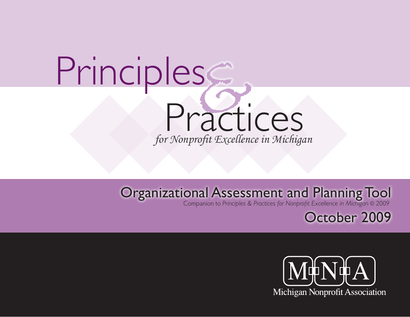# Principles Practices *for Nonprofit Excellence in Michigan*

## Organizational Assessment and Planning Tool

Companion to *Principles & Practices for Nonprofit Excellence in Michigan* © 2009

October 2009

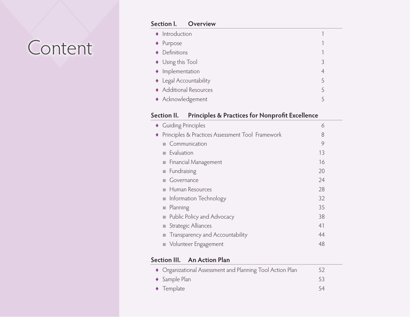## Content

### **Section I. Overview** ♦ Introduction 1 ♦ Purpose 1 ◆ Definitions 1 ♦ Using this Tool 3 ♦ Implementation 4 ♦ Legal Accountability 5 ♦ Additional Resources 5 ♦ Acknowledgement 5

#### **Section II. Principles & Practices for Nonprofit Excellence**

|   | • Guiding Principles                             | 6  |
|---|--------------------------------------------------|----|
| ٠ | Principles & Practices Assessment Tool Framework | 8  |
|   | Communication                                    | 9  |
|   | $\blacksquare$ Evaluation                        | 13 |
|   | Financial Management                             | 16 |
|   | Fundraising                                      | 20 |
|   | Governance                                       | 24 |
|   | Human Resources                                  | 28 |
|   | • Information Technology                         | 32 |
|   | <b>Planning</b>                                  | 35 |
|   | <b>Public Policy and Advocacy</b>                | 38 |
|   | Strategic Alliances                              | 41 |
|   | Transparency and Accountability                  | 44 |
|   | • Volunteer Engagement                           | 48 |
|   |                                                  |    |

### **Section III. An Action Plan**

| • Organizational Assessment and Planning Tool Action Plan | 52 |
|-----------------------------------------------------------|----|
| $\triangleleft$ Sample Plan                               | 53 |
| $\blacklozenge$ Template                                  | 54 |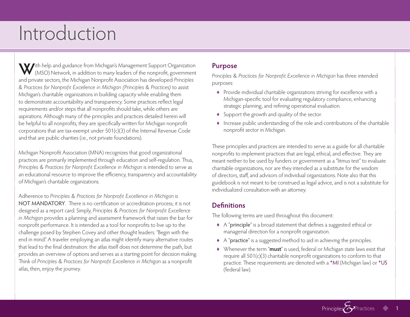## Introduction

With help and guidance from Michigan's Management Support Organization (MSO) Network, in addition to many leaders of the nonprofit, government and private sectors, the Michigan Nonprofit Association has developed *Principles & Practices for Nonprofit Excellence in Michigan (Principles & Practices)* to assist Michigan's charitable organizations in building capacity while enabling them to demonstrate accountability and transparency. Some practices reflect legal requirements and/or steps that all nonprofits should take, while others are aspirations. Although many of the principles and practices detailed herein will be helpful to all nonprofits, they are specifically written for Michigan nonprofit corporations that are tax-exempt under 501(c)(3) of the Internal Revenue Code and that are public charities (i.e., not private foundations).

Michigan Nonprofit Association (MNA) recognizes that good organizational practices are primarily implemented through education and self-regulation. Thus, *Principles & Practices for Nonprofit Excellence in Michigan* is intended to serve as an educational resource to improve the efficiency, transparency and accountability of Michigan's charitable organizations.

Adherence to *Principles & Practices for Nonprofit Excellence in Michigan* is NOT MANDATORY. There is no certification or accreditation process; it is not designed as a report card. Simply, *Principles & Practices for Nonprofit Excellence in Michigan* provides a planning and assessment framework that raises the bar for nonprofit performance. It is intended as a tool for nonprofits to live up to the challenge posed by Stephen Covey and other thought leaders: "Begin with the end in mind." A traveler employing an atlas might identify many alternative routes that lead to the final destination: the atlas itself does not determine the path, but provides an overview of options and serves as a starting point for decision making. Think of *Principles & Practices for Nonprofit Excellence in Michigan* as a nonprofit atlas, then, enjoy the journey.

### **Purpose**

*Principles & Practices for Nonprofit Excellence in Michigan* has three intended purposes:

- ♦ Provide individual charitable organizations striving for excellence with a Michigan-specific tool for evaluating regulatory compliance, enhancing strategic planning, and refining operational evaluation.
- ♦ Support the growth and quality of the sector.
- ♦ Increase public understanding of the role and contributions of the charitable nonprofit sector in Michigan.

These principles and practices are intended to serve as a guide for all charitable nonprofits to implement practices that are legal, ethical, and effective. They are meant neither to be used by funders or government as a "litmus test" to evaluate charitable organizations, nor are they intended as a substitute for the wisdom of directors, staff, and advisors of individual organizations. Note also that this guidebook is not meant to be construed as legal advice, and is not a substitute for individualized consultation with an attorney.

### **Definitions**

The following terms are used throughout this document:

- ♦ A "principle" is a broad statement that defines a suggested ethical or managerial direction for a nonprofit organization.
- ♦ A "practice" is a suggested method to aid in achieving the principles.
- ♦ Whenever the term "**must**" is used, federal or Michigan state laws exist that require all 501(c)(3) charitable nonprofit organizations to conform to that practice. These requirements are denoted with a \*MI (Michigan law) or \*US (federal law).

Principles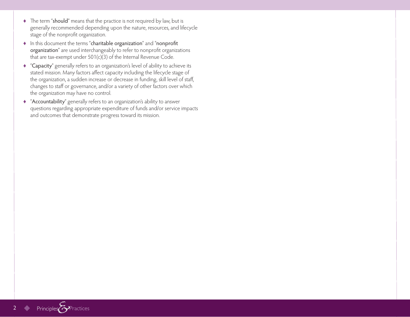- ♦ The term "should" means that the practice is not required by law, but is generally recommended depending upon the nature, resources, and lifecycle stage of the nonprofit organization.
- ♦ In this document the terms "charitable organization" and "nonprofit organization" are used interchangeably to refer to nonprofit organizations that are tax-exempt under 501(c)(3) of the Internal Revenue Code.
- ♦ "Capacity" generally refers to an organization's level of ability to achieve its stated mission. Many factors affect capacity including the lifecycle stage of the organization, a sudden increase or decrease in funding, skill level of staff, changes to staff or governance, and/or a variety of other factors over which the organization may have no control.
- ♦ "Accountability" generally refers to an organization's ability to answer questions regarding appropriate expenditure of funds and/or service impacts and outcomes that demonstrate progress toward its mission.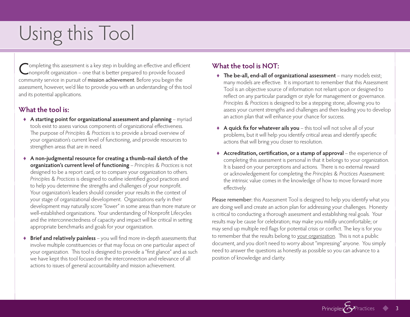## Using this Tool

Completing this assessment is a key step in building an effective and efficient<br>Comprofit organization – one that is better prepared to provide focused community service in pursuit of mission achievement. Before you begin the assessment, however, we'd like to provide you with an understanding of this tool and its potential applications.

### **What the tool is:**

- ♦ **A starting point for organizational assessment and planning** myriad tools exist to assess various components of organizational effectiveness. The purpose of *Principles & Practices* is to provide a broad overview of your organization's current level of functioning, and provide resources to strengthen areas that are in need.
- ♦ **A non-judgmental resource for creating a thumb-nail sketch of the organization's current level of functioning** – *Principles & Practices* is not designed to be a report card, or to compare your organization to others. *Principles & Practices* is designed to outline identified good practices and to help you determine the strengths and challenges of your nonprofit. Your organization's leaders should consider your results in the context of your stage of organizational development. Organizations early in their development may naturally score "lower" in some areas than more mature or well-established organizations. Your understanding of Nonprofit Lifecycles and the interconnectedness of capacity and impact will be critical in setting appropriate benchmarks and goals for your organization.
- ♦ **Brief and relatively painless** you will find more in-depth assessments that involve multiple constituencies or that may focus on one particular aspect of your organization. This tool is designed to provide a "first glance" and as such we have kept this tool focused on the interconnection and relevance of all actions to issues of general accountability and mission achievement.

### **What the tool is NOT:**

- ♦ **The be-all, end-all of organizational assessment** many models exist; many models are effective. It is important to remember that this Assessment Tool is an objective source of information not reliant upon or designed to reflect on any particular paradigm or style for management or governance. *Principles & Practices* is designed to be a stepping stone, allowing you to assess your current strengths and challenges and then leading you to develop an action plan that will enhance your chance for success.
- ♦ **A quick fix for whatever ails you** this tool will not solve all of your problems, but it will help you identify critical areas and identify specific actions that will bring you closer to resolution.
- ♦ **Accreditation, certification, or a stamp of approval** the experience of completing this assessment is personal in that it belongs to your organization. It is based on your perceptions and actions. There is no external reward or acknowledgement for completing the *Principles & Practices* Assessment: the intrinsic value comes in the knowledge of how to move forward more effectively.

Please remember: this Assessment Tool is designed to help you identify what you are doing well and create an action plan for addressing your challenges. Honesty is critical to conducting a thorough assessment and establishing real goals. Your results may be cause for celebration; may make you mildly uncomfortable; or may send up multiple red flags for potential crisis or conflict. The key is for you to remember that the results belong to your organization. This is not a public document, and you don't need to worry about "impressing" anyone. You simply need to answer the questions as honestly as possible so you can advance to a position of knowledge and clarity.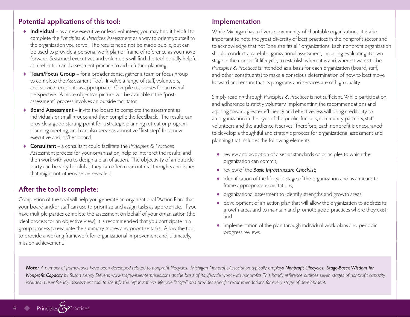#### **Potential applications of this tool:**

- ♦ **Individual** as a new executive or lead volunteer, you may find it helpful to complete the *Principles & Practices* Assessment as a way to orient yourself to the organization you serve. The results need not be made public, but can be used to provide a personal work plan or frame of reference as you move forward. Seasoned executives and volunteers will find the tool equally helpful as a reflection and assessment practice to aid in future planning.
- ♦ **Team/Focus Group** for a broader sense, gather a team or focus group to complete the Assessment Tool. Involve a range of staff, volunteers, and service recipients as appropriate. Compile responses for an overall perspective. A more objective picture will be available if the "postassessment" process involves an outside facilitator.
- ♦ **Board Assessment** invite the board to complete the assessment as individuals or small groups and then compile the feedback. The results can provide a good starting point for a strategic planning retreat or program planning meeting, and can also serve as a positive "first step" for a new executive and his/her board.
- ♦ **Consultant**  a consultant could facilitate the *Principles & Practices*  Assessment process for your organization, help to interpret the results, and then work with you to design a plan of action. The objectivity of an outside party can be very helpful as they can often coax out real thoughts and issues that might not otherwise be revealed.

#### **After the tool is complete:**

Completion of the tool will help you generate an organizational "Action Plan" that your board and/or staff can use to prioritize and assign tasks as appropriate. If you have multiple parties complete the assessment on behalf of your organization (the ideal process for an objective view), it is recommended that you participate in a group process to evaluate the summary scores and prioritize tasks. Allow the tool to provide a working framework for organizational improvement and, ultimately, mission achievement.

#### **Implementation**

While Michigan has a diverse community of charitable organizations, it is also important to note the great diversity of best practices in the nonprofit sector and to acknowledge that not "one size fits all" organizations. Each nonprofit organization should conduct a careful organizational assessment, including evaluating its own stage in the nonprofit lifecycle, to establish where it is and where it wants to be. *Principles & Practices* is intended as a basis for each organization (board, staff, and other constituents) to make a conscious determination of how to best move forward and ensure that its programs and services are of high quality.

Simply reading through *Principles & Practices* is not sufficient. While participation and adherence is strictly voluntary, implementing the recommendations and aspiring toward greater efficiency and effectiveness will bring credibility to an organization in the eyes of the public, funders, community partners, staff, volunteers and the audience it serves. Therefore, each nonprofit is encouraged to develop a thoughtful and strategic process for organizational assessment and planning that includes the following elements:

- ♦ review and adoption of a set of standards or principles to which the organization can commit;
- ♦ review of the *Basic Infrastructure Checklist*;
- ♦ identification of the lifecycle stage of the organization and as a means to frame appropriate expectations;
- ♦ organizational assessment to identify strengths and growth areas;
- ♦ development of an action plan that will allow the organization to address its growth areas and to maintain and promote good practices where they exist; and
- ♦ implementation of the plan through individual work plans and periodic progress reviews.

Note: A number of frameworks have been developed related to nonprofit lifecycles. Michigan Nonprofit Association typically employs Nonprofit Lifecycles: Stage-Based Wisdom for *Nonprofit Capacity by Susan Kenny Stevens www.stagewiseenterprises.com as the basis of its lifecycle work with nonprofits. This handy reference outlines seven stages of nonprofit capacity, includes a user-friendly assessment tool to identify the organization's lifecycle "stage" and provides specific recommendations for every stage of development.*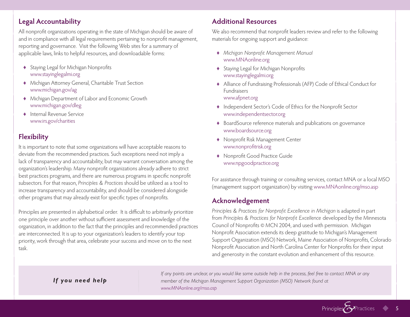### **Legal Accountability**

All nonprofit organizations operating in the state of Michigan should be aware of and in compliance with all legal requirements pertaining to nonprofit management, reporting and governance. Visit the following Web sites for a summary of applicable laws, links to helpful resources, and downloadable forms:

- ♦ Staying Legal for Michigan Nonprofits www.stayinglegalmi.org
- ♦ Michigan Attorney General, Charitable Trust Section www.michigan.gov/ag
- ♦ Michigan Department of Labor and Economic Growth www.michigan.gov/dleg
- ♦ Internal Revenue Service www.irs.gov/charities

### **Flexibility**

It is important to note that some organizations will have acceptable reasons to deviate from the recommended practices. Such exceptions need not imply a lack of transparency and accountability, but may warrant conversation among the organization's leadership. Many nonprofit organizations already adhere to strict best practices programs, and there are numerous programs in specific nonprofit subsectors. For that reason, *Principles & Practices* should be utilized as a tool to increase transparency and accountability, and should be considered alongside other programs that may already exist for specific types of nonprofits.

Principles are presented in alphabetical order. It is difficult to arbitrarily prioritize one principle over another without sufficient assessment and knowledge of the organization, in addition to the fact that the principles and recommended practices are interconnected. It is up to your organization's leaders to identify your top priority, work through that area, celebrate your success and move on to the next task.

### **Additional Resources**

We also recommend that nonprofit leaders review and refer to the following materials for ongoing support and guidance:

- ♦ *Michigan Nonprofit Management Manual*  www.MNAonline.org
- ♦ Staying Legal for Michigan Nonprofits www.stayinglegalmi.org
- ♦ Alliance of Fundraising Professionals (AFP) Code of Ethical Conduct for Fundraisers www.afpnet.org
- ♦ Independent Sector's Code of Ethics for the Nonprofit Sector www.independentsector.org
- ♦ BoardSource reference materials and publications on governance www.boardsource.org
- ♦ Nonprofit Risk Management Center www.nonprofitrisk.org
- ♦ Nonprofit Good Practice Guide www.npgoodpractice.org

For assistance through training or consulting services, contact MNA or a local MSO (management support organization) by visiting www.MNAonline.org/mso.asp

### **Acknowledgement**

*Principles & Practices for Nonprofit Excellence in Michigan* is adapted in part from *Principles & Practices for Nonprofit Excellence* developed by the Minnesota Council of Nonprofits © MCN 2004, and used with permission. Michigan Nonprofit Association extends its deep gratitude to Michigan's Management Support Organization (MSO) Network, Maine Association of Nonprofits, Colorado Nonprofit Association and North Carolina Center for Nonprofits for their input and generosity in the constant evolution and enhancement of this resource.

Principles

#### *If you need help*

*If any points are unclear, or you would like some outside help in the process, feel free to contact MNA or any member of the Michigan Management Support Organization (MSO) Network found at www.MNAonline.org/mso.asp*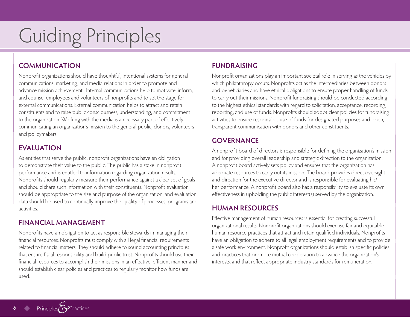## Guiding Principles

### **COMMUNICATION**

Nonprofit organizations should have thoughtful, intentional systems for general communications, marketing, and media relations in order to promote and advance mission achievement. Internal communications help to motivate, inform, and counsel employees and volunteers of nonprofits and to set the stage for external communications. External communication helps to attract and retain constituents and to raise public consciousness, understanding, and commitment to the organization. Working with the media is a necessary part of effectively communicating an organization's mission to the general public, donors, volunteers and policymakers.

### **EVALUATION**

As entities that serve the public, nonprofit organizations have an obligation to demonstrate their value to the public. The public has a stake in nonprofit performance and is entitled to information regarding organization results. Nonprofits should regularly measure their performance against a clear set of goals and should share such information with their constituents. Nonprofit evaluation should be appropriate to the size and purpose of the organization, and evaluation data should be used to continually improve the quality of processes, programs and activities.

#### **FINANCIAL MANAGEMENT**

Nonprofits have an obligation to act as responsible stewards in managing their financial resources. Nonprofits must comply with all legal financial requirements related to financial matters. They should adhere to sound accounting principles that ensure fiscal responsibility and build public trust. Nonprofits should use their financial resources to accomplish their missions in an effective, efficient manner and should establish clear policies and practices to regularly monitor how funds are used.

### **FUNDRAISING**

Nonprofit organizations play an important societal role in serving as the vehicles by which philanthropy occurs. Nonprofits act as the intermediaries between donors and beneficiaries and have ethical obligations to ensure proper handling of funds to carry out their missions. Nonprofit fundraising should be conducted according to the highest ethical standards with regard to solicitation, acceptance, recording, reporting, and use of funds. Nonprofits should adopt clear policies for fundraising activities to ensure responsible use of funds for designated purposes and open, transparent communication with donors and other constituents.

#### **GOVERNANCE**

A nonprofit board of directors is responsible for defining the organization's mission and for providing overall leadership and strategic direction to the organization. A nonprofit board actively sets policy and ensures that the organization has adequate resources to carry out its mission. The board provides direct oversight and direction for the executive director and is responsible for evaluating his/ her performance. A nonprofit board also has a responsibility to evaluate its own effectiveness in upholding the public interest(s) served by the organization.

#### **HUMAN RESOURCES**

Effective management of human resources is essential for creating successful organizational results. Nonprofit organizations should exercise fair and equitable human resource practices that attract and retain qualified individuals. Nonprofits have an obligation to adhere to all legal employment requirements and to provide a safe work environment. Nonprofit organizations should establish specific policies and practices that promote mutual cooperation to advance the organization's interests, and that reflect appropriate industry standards for remuneration.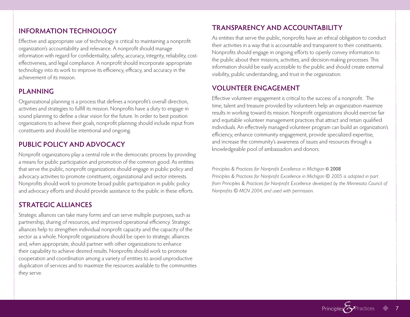### **INFORMATION TECHNOLOGY**

Effective and appropriate use of technology is critical to maintaining a nonprofit organization's accountability and relevance. A nonprofit should manage information with regard for confidentiality, safety, accuracy, integrity, reliability, costeffectiveness, and legal compliance. A nonprofit should incorporate appropriate technology into its work to improve its efficiency, efficacy, and accuracy in the achievement of its mission.

### **PLANNING**

Organizational planning is a process that defines a nonprofit's overall direction, activities and strategies to fulfill its mission. Nonprofits have a duty to engage in sound planning to define a clear vision for the future. In order to best position organizations to achieve their goals, nonprofit planning should include input from constituents and should be intentional and ongoing.

### **PUBLIC POLICY AND ADVOCACY**

Nonprofit organizations play a central role in the democratic process by providing a means for public participation and promotion of the common good. As entities that serve the public, nonprofit organizations should engage in public policy and advocacy activities to promote constituent, organizational and sector interests. Nonprofits should work to promote broad public participation in public policy and advocacy efforts and should provide assistance to the public in these efforts.

### **STRATEGIC ALLIANCES**

Strategic alliances can take many forms and can serve multiple purposes, such as partnership, sharing of resources, and improved operational efficiency. Strategic alliances help to strengthen individual nonprofit capacity and the capacity of the sector as a whole. Nonprofit organizations should be open to strategic alliances and, when appropriate, should partner with other organizations to enhance their capability to achieve desired results. Nonprofits should work to promote cooperation and coordination among a variety of entities to avoid unproductive duplication of services and to maximize the resources available to the communities they serve.

### **TRANSPARENCY AND ACCOUNTABILITY**

As entities that serve the public, nonprofits have an ethical obligation to conduct their activities in a way that is accountable and transparent to their constituents. Nonprofits should engage in ongoing efforts to openly convey information to the public about their missions, activities, and decision-making processes. This information should be easily accessible to the public and should create external visibility, public understanding, and trust in the organization.

### **VOLUNTEER ENGAGEMENT**

Effective volunteer engagement is critical to the success of a nonprofit. The time, talent and treasure provided by volunteers help an organization maximize results in working toward its mission. Nonprofit organizations should exercise fair and equitable volunteer management practices that attract and retain qualified individuals. An effectively managed volunteer program can build an organization's efficiency, enhance community engagement, provide specialized expertise, and increase the community's awareness of issues and resources through a knowledgeable pool of ambassadors and donors.

*Principles & Practices for Nonprofit Excellence in Michigan* © 2008 *Principles & Practices for Nonprofit Excellence in Michigan © 2005 is adapted in part from Principles & Practices for Nonprofit Excellence developed by the Minnesota Council of Nonprofits © MCN 2004, and used with permission.*

Principles<sup>2</sup>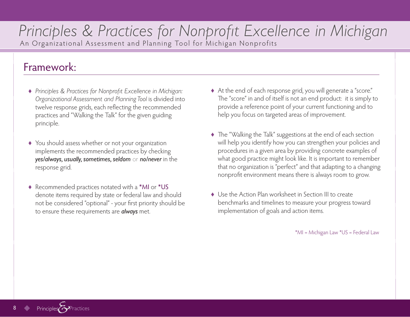### *Principles & Practices for Nonprofit Excellence in Michigan* An Organizational Assessment and Planning Tool for Michigan Nonprofits

### Framework:

- ♦ *Principles & Practices for Nonprofit Excellence in Michigan: Organizational Assessment and Planning Tool* is divided into twelve response grids, each reflecting the recommended practices and "Walking the Talk" for the given guiding principle.
- ♦ You should assess whether or not your organization implements the recommended practices by checking *yes/always, usually, sometimes, seldom* or *no/never* in the response grid.
- ♦ Recommended practices notated with a \*MI or \*US denote items required by state or federal law and should not be considered "optional" - your first priority should be to ensure these requirements are *always* met.
- ♦ At the end of each response grid, you will generate a "score." The "score" in and of itself is not an end product: it is simply to provide a reference point of your current functioning and to help you focus on targeted areas of improvement.
- ♦ The "Walking the Talk" suggestions at the end of each section will help you identify how you can strengthen your policies and procedures in a given area by providing concrete examples of what good practice might look like. It is important to remember that no organization is "perfect" and that adapting to a changing nonprofit environment means there is always room to grow.
- ♦ Use the Action Plan worksheet in Section III to create benchmarks and timelines to measure your progress toward implementation of goals and action items.

\*MI = Michigan Law \*US = Federal Law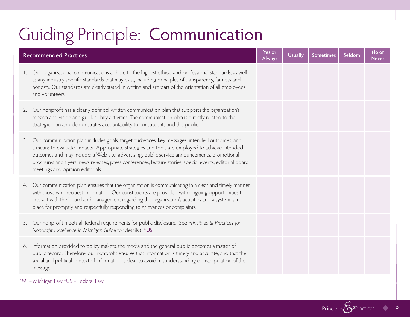## Guiding Principle: Communication

|    | <b>Recommended Practices</b>                                                                                                                                                                                                                                                                                                                                                                                                                    | Yes or<br><b>Always</b> | <b>Usually</b> | Sometimes | Seldom | No or<br><b>Never</b> |
|----|-------------------------------------------------------------------------------------------------------------------------------------------------------------------------------------------------------------------------------------------------------------------------------------------------------------------------------------------------------------------------------------------------------------------------------------------------|-------------------------|----------------|-----------|--------|-----------------------|
|    | Our organizational communications adhere to the highest ethical and professional standards, as well<br>as any industry specific standards that may exist, including principles of transparency, fairness and<br>honesty. Our standards are clearly stated in writing and are part of the orientation of all employees<br>and volunteers.                                                                                                        |                         |                |           |        |                       |
| 2. | Our nonprofit has a clearly defined, written communication plan that supports the organization's<br>mission and vision and guides daily activities. The communication plan is directly related to the<br>strategic plan and demonstrates accountability to constituents and the public.                                                                                                                                                         |                         |                |           |        |                       |
| 3. | Our communication plan includes goals, target audiences, key messages, intended outcomes, and<br>a means to evaluate impacts. Appropriate strategies and tools are employed to achieve intended<br>outcomes and may include: a Web site, advertising, public service announcements, promotional<br>brochures and flyers, news releases, press conferences, feature stories, special events, editorial board<br>meetings and opinion editorials. |                         |                |           |        |                       |
|    | 4. Our communication plan ensures that the organization is communicating in a clear and timely manner<br>with those who request information. Our constituents are provided with ongoing opportunities to<br>interact with the board and management regarding the organization's activities and a system is in<br>place for promptly and respectfully responding to grievances or complaints.                                                    |                         |                |           |        |                       |
|    | 5. Our nonprofit meets all federal requirements for public disclosure. (See Principles & Practices for<br>Nonprofit Excellence in Michigan Guide for details.) *US                                                                                                                                                                                                                                                                              |                         |                |           |        |                       |
|    | 6. Information provided to policy makers, the media and the general public becomes a matter of<br>public record. Therefore, our nonprofit ensures that information is timely and accurate, and that the<br>social and political context of information is clear to avoid misunderstanding or manipulation of the<br>message.                                                                                                                    |                         |                |           |        |                       |

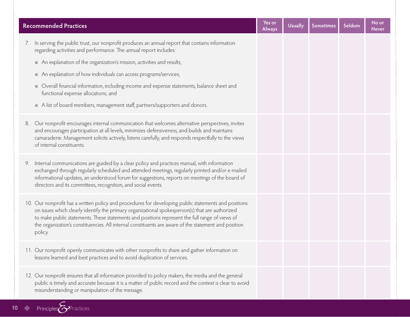| <b>Recommended Practices</b>                                                                                                                                                                                                                                                                                                                                                                                                 | Yes or<br><b>Always</b> | <b>Usually</b> | <b>Sometimes</b> | Seldom | No or<br><b>Never</b> |
|------------------------------------------------------------------------------------------------------------------------------------------------------------------------------------------------------------------------------------------------------------------------------------------------------------------------------------------------------------------------------------------------------------------------------|-------------------------|----------------|------------------|--------|-----------------------|
| 7. In serving the public trust, our nonprofit produces an annual report that contains information<br>regarding activities and performance. The annual report includes:                                                                                                                                                                                                                                                       |                         |                |                  |        |                       |
| An explanation of the organization's mission, activities and results;                                                                                                                                                                                                                                                                                                                                                        |                         |                |                  |        |                       |
| An explanation of how individuals can access programs/services;<br>ш.                                                                                                                                                                                                                                                                                                                                                        |                         |                |                  |        |                       |
| Overall financial information, including income and expense statements, balance sheet and<br>ш.<br>functional expense allocations; and                                                                                                                                                                                                                                                                                       |                         |                |                  |        |                       |
| A list of board members, management staff, partners/supporters and donors.                                                                                                                                                                                                                                                                                                                                                   |                         |                |                  |        |                       |
| Our nonprofit encourages internal communication that welcomes alternative perspectives, invites<br>8.<br>and encourages participation at all levels, minimizes defensiveness, and builds and maintains<br>camaraderie. Management solicits actively, listens carefully, and responds respectfully to the views<br>of internal constituents.                                                                                  |                         |                |                  |        |                       |
| Internal communications are guided by a clear policy and practices manual, with information<br>9.<br>exchanged through regularly scheduled and attended meetings, regularly printed and/or e-mailed<br>informational updates, an understood forum for suggestions, reports on meetings of the board of<br>directors and its committees, recognition, and social events.                                                      |                         |                |                  |        |                       |
| 10. Our nonprofit has a written policy and procedures for developing public statements and positions<br>on issues which clearly identify the primary organizational spokesperson(s) that are authorized<br>to make public statements. These statements and positions represent the full range of views of<br>the organization's constituencies. All internal constituents are aware of the statement and position<br>policy. |                         |                |                  |        |                       |
| 11. Our nonprofit openly communicates with other nonprofits to share and gather information on<br>lessons learned and best practices and to avoid duplication of services.                                                                                                                                                                                                                                                   |                         |                |                  |        |                       |
| 12. Our nonprofit ensures that all information provided to policy makers, the media and the general<br>public is timely and accurate because it is a matter of public record and the context is clear to avoid<br>misunderstanding or manipulation of the message.                                                                                                                                                           |                         |                |                  |        |                       |

10 Principles Practices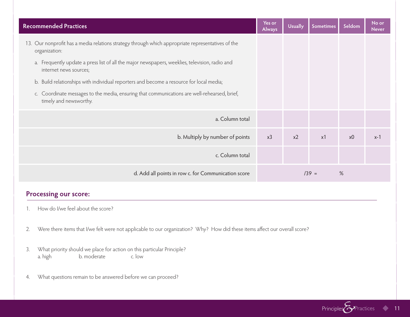| <b>Recommended Practices</b>                                                                                             | Yes or<br>Always | <b>Usually</b> | <b>Sometimes</b> | Seldom         | No or<br><b>Never</b> |
|--------------------------------------------------------------------------------------------------------------------------|------------------|----------------|------------------|----------------|-----------------------|
| 13. Our nonprofit has a media relations strategy through which appropriate representatives of the<br>organization:       |                  |                |                  |                |                       |
| a. Frequently update a press list of all the major newspapers, weeklies, television, radio and<br>internet news sources; |                  |                |                  |                |                       |
| b. Build relationships with individual reporters and become a resource for local media;                                  |                  |                |                  |                |                       |
| c. Coordinate messages to the media, ensuring that communications are well-rehearsed, brief,<br>timely and newsworthy.   |                  |                |                  |                |                       |
| a. Column total                                                                                                          |                  |                |                  |                |                       |
| b. Multiply by number of points                                                                                          | x3               | $x^2$          | x1               | x <sub>0</sub> | x-1                   |
| c. Column total                                                                                                          |                  |                |                  |                |                       |
| d. Add all points in row c. for Communication score                                                                      | $/39 =$<br>%     |                |                  |                |                       |

- 1. How do I/we feel about the score?
- 2. Were there items that I/we felt were not applicable to our organization? Why? How did these items affect our overall score?
- 3. What priority should we place for action on this particular Principle? a. high b. moderate c. low
- 4. What questions remain to be answered before we can proceed?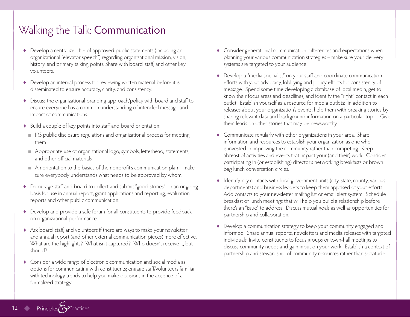### Walking the Talk: Communication

- ♦ Develop a centralized file of approved public statements (including an organizational "elevator speech") regarding organizational mission, vision, history, and primary talking points. Share with board, staff, and other key volunteers.
- ♦ Develop an internal process for reviewing written material before it is disseminated to ensure accuracy, clarity, and consistency.
- ♦ Discuss the organizational branding approach/policy with board and staff to ensure everyone has a common understanding of intended message and impact of communications.
- ♦ Build a couple of key points into staff and board orientation:
	- IRS public disclosure regulations and organizational process for meeting them
	- Appropriate use of organizational logo, symbols, letterhead, statements, and other official materials
	- An orientation to the basics of the nonprofit's communication plan make sure everybody understands what needs to be approved by whom.
- ♦ Encourage staff and board to collect and submit "good stories" on an ongoing basis for use in annual report, grant applications and reporting, evaluation reports and other public communication.
- ♦ Develop and provide a safe forum for all constituents to provide feedback on organizational performance.
- ♦ Ask board, staff, and volunteers if there are ways to make your newsletter and annual report (and other external communication pieces) more effective. What are the highlights? What isn't captured? Who doesn't receive it, but should?
- ♦ Consider a wide range of electronic communication and social media as options for communicating with constituents; engage staff/volunteers familiar with technology trends to help you make decisions in the absence of a formalized strategy.
- ♦ Consider generational communication differences and expectations when planning your various communication strategies – make sure your delivery systems are targeted to your audience.
- ♦ Develop a "media specialist" on your staff and coordinate communication efforts with your advocacy, lobbying and policy efforts for consistency of message. Spend some time developing a database of local media, get to know their focus areas and deadlines, and identify the "right" contact in each outlet. Establish yourself as a resource for media outlets: in addition to releases about your organization's events, help them with breaking stories by sharing relevant data and background information on a particular topic. Give them leads on other stories that may be newsworthy.
- ♦ Communicate regularly with other organizations in your area. Share information and resources to establish your organization as one who is invested in improving the community rather than competing. Keep abreast of activities and events that impact your (and their) work. Consider participating in (or establishing) director's networking breakfasts or brown bag lunch conversation circles.
- ♦ Identify key contacts with local government units (city, state, county, various departments) and business leaders to keep them apprised of your efforts. Add contacts to your newsletter mailing list or email alert system. Schedule breakfast or lunch meetings that will help you build a relationship before there's an "issue" to address. Discuss mutual goals as well as opportunities for partnership and collaboration.
- ♦ Develop a communication strategy to keep your community engaged and informed. Share annual reports, newsletters and media releases with targeted individuals. Invite constituents to focus groups or town-hall meetings to discuss community needs and gain input on your work. Establish a context of partnership and stewardship of community resources rather than servitude.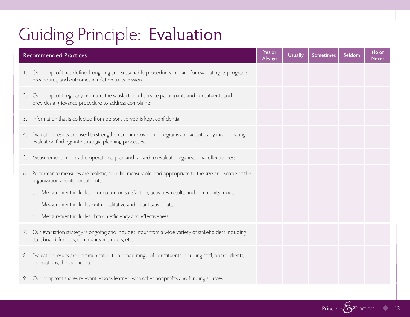## Guiding Principle: Evaluation

|    | <b>Recommended Practices</b><br><b>Always</b>                                                                                                                |  | <b>Usually</b> | <b>Sometimes</b> | Seldom | No or<br><b>Never</b> |
|----|--------------------------------------------------------------------------------------------------------------------------------------------------------------|--|----------------|------------------|--------|-----------------------|
| 1. | Our nonprofit has defined, ongoing and sustainable procedures in place for evaluating its programs,<br>procedures, and outcomes in relation to its mission.  |  |                |                  |        |                       |
| 2. | Our nonprofit regularly monitors the satisfaction of service participants and constituents and<br>provides a grievance procedure to address complaints.      |  |                |                  |        |                       |
| 3. | Information that is collected from persons served is kept confidential.                                                                                      |  |                |                  |        |                       |
| 4. | Evaluation results are used to strengthen and improve our programs and activities by incorporating<br>evaluation findings into strategic planning processes. |  |                |                  |        |                       |
| 5. | Measurement informs the operational plan and is used to evaluate organizational effectiveness.                                                               |  |                |                  |        |                       |
| 6. | Performance measures are realistic, specific, measurable, and appropriate to the size and scope of the<br>organization and its constituents.                 |  |                |                  |        |                       |
|    | Measurement includes information on satisfaction, activities, results, and community input.<br>a.                                                            |  |                |                  |        |                       |
|    | Measurement includes both qualitative and quantitative data.<br>b.                                                                                           |  |                |                  |        |                       |
|    | Measurement includes data on efficiency and effectiveness.<br>C.                                                                                             |  |                |                  |        |                       |
|    | 7. Our evaluation strategy is ongoing and includes input from a wide variety of stakeholders including<br>staff, board, funders, community members, etc.     |  |                |                  |        |                       |
| 8. | Evaluation results are communicated to a broad range of constituents including staff, board, clients,<br>foundations, the public, etc.                       |  |                |                  |        |                       |
| 9. | Our nonprofit shares relevant lessons learned with other nonprofits and funding sources.                                                                     |  |                |                  |        |                       |

Principles<sup>2</sup>Practices 13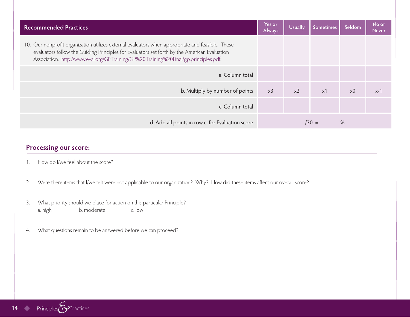| <b>Recommended Practices</b>                                                                                                                                                                                                                                                             | Yes or<br><b>Always</b> | <b>Usually</b> | Sometimes  | Seldom         | No or<br><b>Never</b> |
|------------------------------------------------------------------------------------------------------------------------------------------------------------------------------------------------------------------------------------------------------------------------------------------|-------------------------|----------------|------------|----------------|-----------------------|
| 10. Our nonprofit organization utilizes external evaluators when appropriate and feasible. These<br>evaluators follow the Guiding Principles for Evaluators set forth by the American Evaluation<br>Association. http://www.eval.org/GPTraining/GP%20Training%20Final/gp.principles.pdf. |                         |                |            |                |                       |
| a. Column total                                                                                                                                                                                                                                                                          |                         |                |            |                |                       |
| b. Multiply by number of points                                                                                                                                                                                                                                                          | x3                      | x <sub>2</sub> | $\times$ 1 | x <sub>0</sub> | $x-1$                 |
| c. Column total                                                                                                                                                                                                                                                                          |                         |                |            |                |                       |
| d. Add all points in row c. for Evaluation score                                                                                                                                                                                                                                         | $/30 =$                 |                |            | %              |                       |

- 1. How do I/we feel about the score?
- 2. Were there items that I/we felt were not applicable to our organization? Why? How did these items affect our overall score?
- 3. What priority should we place for action on this particular Principle?<br>a. high b. moderate c. low a. high b. moderate
- 4. What questions remain to be answered before we can proceed?

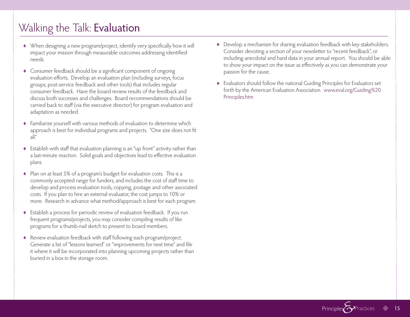### Walking the Talk: Evaluation

- ♦ When designing a new program/project, identify very specifically how it will impact your mission through measurable outcomes addressing identified needs.
- ♦ Consumer feedback should be a significant component of ongoing evaluation efforts. Develop an evaluation plan (including surveys, focus groups, post-service feedback and other tools) that includes regular consumer feedback. Have the board review results of the feedback and discuss both successes and challenges. Board recommendations should be carried back to staff (via the executive director) for program evaluation and adaptation as needed.
- ♦ Familiarize yourself with various methods of evaluation to determine which approach is best for individual programs and projects. "One size does not fit  $all''$
- ♦ Establish with staff that evaluation planning is an "up front" activity rather than a last-minute reaction. Solid goals and objectives lead to effective evaluation plans.
- ♦ Plan on at least 5% of a program's budget for evaluation costs. This is a commonly accepted range for funders, and includes the cost of staff time to develop and process evaluation tools, copying, postage and other associated costs. If you plan to hire an external evaluator, the cost jumps to 10% or more. Research in advance what method/approach is best for each program.
- ♦ Establish a process for periodic review of evaluation feedback. If you run frequent programs/projects, you may consider compiling results of like programs for a thumb-nail sketch to present to board members.
- ♦ Review evaluation feedback with staff following each program/project. Generate a list of "lessons learned" or "improvements for next time" and file it where it will be incorporated into planning upcoming projects rather than buried in a box in the storage room.
- ♦ Develop a mechanism for sharing evaluation feedback with key stakeholders. Consider devoting a section of your newsletter to "recent feedback", or including anecdotal and hard data in your annual report. You should be able to show your impact on the issue as effectively as you can demonstrate your passion for the cause.
- ♦ Evaluators should follow the national Guiding Principles for Evaluators set forth by the American Evaluation Association. www.eval.org/Guiding%20 Principles.htm

Principles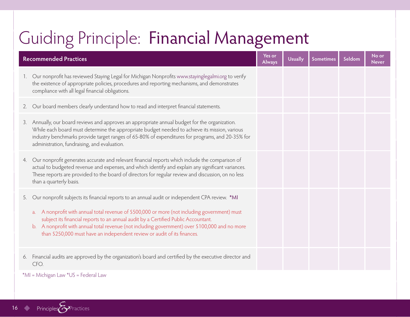## Guiding Principle: Financial Management

|             | <b>Recommended Practices</b>                                                                                                                                                                                                                                                                                                                                                                                                                                                       | Yes or<br><b>Always</b> | <b>Usually</b> | <b>Sometimes</b> | Seldom | No or<br><b>Never</b> |
|-------------|------------------------------------------------------------------------------------------------------------------------------------------------------------------------------------------------------------------------------------------------------------------------------------------------------------------------------------------------------------------------------------------------------------------------------------------------------------------------------------|-------------------------|----------------|------------------|--------|-----------------------|
| $1_{\cdot}$ | Our nonprofit has reviewed Staying Legal for Michigan Nonprofits www.stayinglegalmi.org to verify<br>the existence of appropriate policies, procedures and reporting mechanisms, and demonstrates<br>compliance with all legal financial obligations.                                                                                                                                                                                                                              |                         |                |                  |        |                       |
| 2.          | Our board members clearly understand how to read and interpret financial statements.                                                                                                                                                                                                                                                                                                                                                                                               |                         |                |                  |        |                       |
| 3.          | Annually, our board reviews and approves an appropriate annual budget for the organization.<br>While each board must determine the appropriate budget needed to achieve its mission, various<br>industry benchmarks provide target ranges of 65-80% of expenditures for programs, and 20-35% for<br>administration, fundraising, and evaluation.                                                                                                                                   |                         |                |                  |        |                       |
| 4.          | Our nonprofit generates accurate and relevant financial reports which include the comparison of<br>actual to budgeted revenue and expenses, and which identify and explain any significant variances.<br>These reports are provided to the board of directors for regular review and discussion, on no less<br>than a quarterly basis.                                                                                                                                             |                         |                |                  |        |                       |
| 5.          | Our nonprofit subjects its financial reports to an annual audit or independent CPA review. *MI<br>A nonprofit with annual total revenue of \$500,000 or more (not including government) must<br>$a_{\cdot}$<br>subject its financial reports to an annual audit by a Certified Public Accountant.<br>A nonprofit with annual total revenue (not including government) over \$100,000 and no more<br>b.<br>than \$250,000 must have an independent review or audit of its finances. |                         |                |                  |        |                       |
| 6.          | Financial audits are approved by the organization's board and certified by the executive director and<br>CFO.                                                                                                                                                                                                                                                                                                                                                                      |                         |                |                  |        |                       |

\*MI = Michigan Law \*US = Federal Law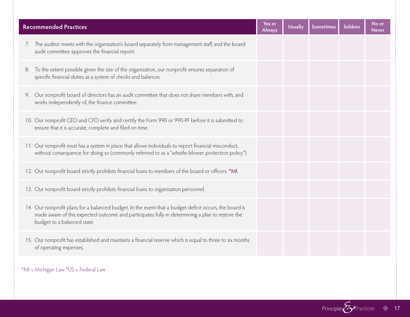| <b>Recommended Practices</b>                                                                                                                                                                                                             | Yes or<br><b>Always</b> | <b>Usually</b> | <b>Sometimes</b> | Seldom | No or<br><b>Never</b> |
|------------------------------------------------------------------------------------------------------------------------------------------------------------------------------------------------------------------------------------------|-------------------------|----------------|------------------|--------|-----------------------|
| The auditor meets with the organization's board separately from management staff, and the board<br>7.<br>audit committee approves the financial report.                                                                                  |                         |                |                  |        |                       |
| To the extent possible given the size of the organization, our nonprofit ensures separation of<br>8.<br>specific financial duties as a system of checks and balances.                                                                    |                         |                |                  |        |                       |
| Our nonprofit board of directors has an audit committee that does not share members with, and<br>9.<br>works independently of, the finance committee.                                                                                    |                         |                |                  |        |                       |
| 10. Our nonprofit CEO and CFO verify and certify the Form 990 or 990-PF before it is submitted to<br>ensure that it is accurate, complete and filed on time.                                                                             |                         |                |                  |        |                       |
| 11. Our nonprofit must has a system in place that allows individuals to report financial misconduct,<br>without consequence for doing so (commonly referred to as a "whistle-blower protection policy").                                 |                         |                |                  |        |                       |
| 12. Our nonprofit board strictly prohibits financial loans to members of the board or officers. *MI                                                                                                                                      |                         |                |                  |        |                       |
| 13. Our nonprofit board strictly prohibits financial loans to organization personnel.                                                                                                                                                    |                         |                |                  |        |                       |
| 14. Our nonprofit plans for a balanced budget. In the event that a budget deficit occurs, the board is<br>made aware of this expected outcome and participates fully in determining a plan to restore the<br>budget to a balanced state. |                         |                |                  |        |                       |
| 15. Our nonprofit has established and maintains a financial reserve which is equal to three to six months<br>of operating expenses.                                                                                                      |                         |                |                  |        |                       |

\*MI = Michigan Law \*US = Federal Law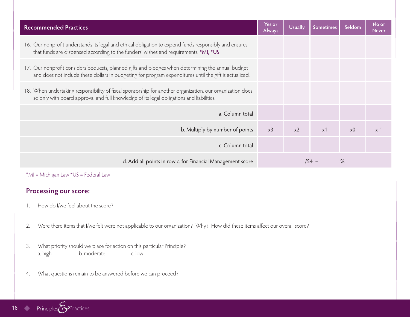| <b>Recommended Practices</b>                                                                                                                                                                                 | Yes or<br><b>Always</b> | <b>Usually</b> | <b>Sometimes</b> | Seldom | No or<br><b>Never</b> |
|--------------------------------------------------------------------------------------------------------------------------------------------------------------------------------------------------------------|-------------------------|----------------|------------------|--------|-----------------------|
| 16. Our nonprofit understands its legal and ethical obligation to expend funds responsibly and ensures<br>that funds are dispensed according to the funders' wishes and requirements. *MI, *US               |                         |                |                  |        |                       |
| 17. Our nonprofit considers bequests, planned gifts and pledges when determining the annual budget<br>and does not include these dollars in budgeting for program expenditures until the gift is actualized. |                         |                |                  |        |                       |
| 18. When undertaking responsibility of fiscal sponsorship for another organization, our organization does<br>so only with board approval and full knowledge of its legal obligations and liabilities.        |                         |                |                  |        |                       |
| a. Column total                                                                                                                                                                                              |                         |                |                  |        |                       |
| b. Multiply by number of points                                                                                                                                                                              | x3                      | $x^2$          | x1               | х0     | $x-1$                 |
| c. Column total                                                                                                                                                                                              |                         |                |                  |        |                       |
| d. Add all points in row c. for Financial Management score                                                                                                                                                   |                         |                | $/54 =$          | %      |                       |
| *MI = Michigan Law *US = Federal Law                                                                                                                                                                         |                         |                |                  |        |                       |

- 1. How do I/we feel about the score?
- 2. Were there items that I/we felt were not applicable to our organization? Why? How did these items affect our overall score?
- 3. What priority should we place for action on this particular Principle? a. high b. moderate c. low
- 4. What questions remain to be answered before we can proceed?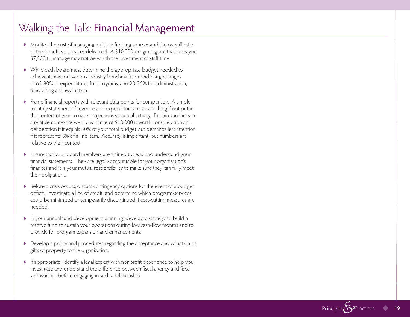### Walking the Talk: Financial Management

- ♦ Monitor the cost of managing multiple funding sources and the overall ratio of the benefit vs. services delivered. A \$10,000 program grant that costs you \$7,500 to manage may not be worth the investment of staff time.
- ♦ While each board must determine the appropriate budget needed to achieve its mission, various industry benchmarks provide target ranges of 65-80% of expenditures for programs, and 20-35% for administration, fundraising and evaluation.
- ♦ Frame financial reports with relevant data points for comparison. A simple monthly statement of revenue and expenditures means nothing if not put in the context of year to date projections vs. actual activity. Explain variances in a relative context as well: a variance of \$10,000 is worth consideration and deliberation if it equals 30% of your total budget but demands less attention if it represents 3% of a line item. Accuracy is important, but numbers are relative to their context.
- ♦ Ensure that your board members are trained to read and understand your financial statements. They are legally accountable for your organization's finances and it is your mutual responsibility to make sure they can fully meet their obligations.
- ♦ Before a crisis occurs, discuss contingency options for the event of a budget deficit. Investigate a line of credit, and determine which programs/services could be minimized or temporarily discontinued if cost-cutting measures are needed.
- ♦ In your annual fund development planning, develop a strategy to build a reserve fund to sustain your operations during low cash-flow months and to provide for program expansion and enhancements.
- ♦ Develop a policy and procedures regarding the acceptance and valuation of gifts of property to the organization.
- ♦ If appropriate, identify a legal expert with nonprofit experience to help you investigate and understand the difference between fiscal agency and fiscal sponsorship before engaging in such a relationship.

Principles<sup></sup>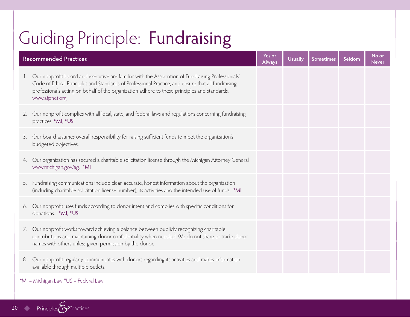## Guiding Principle: Fundraising

|    | <b>Recommended Practices</b><br><b>Always</b>                                                                                                                                                                                                                                                                             |  | <b>Usually</b> | <b>Sometimes</b> | Seldom | No or<br><b>Never</b> |
|----|---------------------------------------------------------------------------------------------------------------------------------------------------------------------------------------------------------------------------------------------------------------------------------------------------------------------------|--|----------------|------------------|--------|-----------------------|
|    | Our nonprofit board and executive are familiar with the Association of Fundraising Professionals'<br>Code of Ethical Principles and Standards of Professional Practice, and ensure that all fundraising<br>professionals acting on behalf of the organization adhere to these principles and standards.<br>www.afpnet.org |  |                |                  |        |                       |
| 2. | Our nonprofit complies with all local, state, and federal laws and regulations concerning fundraising<br>practices. *MI, *US                                                                                                                                                                                              |  |                |                  |        |                       |
| 3. | Our board assumes overall responsibility for raising sufficient funds to meet the organization's<br>budgeted objectives.                                                                                                                                                                                                  |  |                |                  |        |                       |
| 4. | Our organization has secured a charitable solicitation license through the Michigan Attorney General<br>www.michigan.gov/ag. *MI                                                                                                                                                                                          |  |                |                  |        |                       |
| 5. | Fundraising communications include clear, accurate, honest information about the organization<br>(including charitable solicitation license number), its activities and the intended use of funds. *MI                                                                                                                    |  |                |                  |        |                       |
| 6. | Our nonprofit uses funds according to donor intent and complies with specific conditions for<br>donations. *MI, *US                                                                                                                                                                                                       |  |                |                  |        |                       |
| 7. | Our nonprofit works toward achieving a balance between publicly recognizing charitable<br>contributions and maintaining donor confidentiality when needed. We do not share or trade donor<br>names with others unless given permission by the donor.                                                                      |  |                |                  |        |                       |
| 8. | Our nonprofit regularly communicates with donors regarding its activities and makes information<br>available through multiple outlets.                                                                                                                                                                                    |  |                |                  |        |                       |

#### \*MI = Michigan Law \*US = Federal Law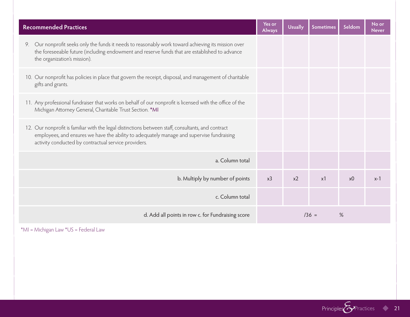| <b>Recommended Practices</b>                                                                                                                                                                                                                            | Yes or<br>Always | <b>Usually</b> | <b>Sometimes</b> | Seldom         | No or<br><b>Never</b> |
|---------------------------------------------------------------------------------------------------------------------------------------------------------------------------------------------------------------------------------------------------------|------------------|----------------|------------------|----------------|-----------------------|
| 9. Our nonprofit seeks only the funds it needs to reasonably work toward achieving its mission over<br>the foreseeable future (including endowment and reserve funds that are established to advance<br>the organization's mission).                    |                  |                |                  |                |                       |
| 10. Our nonprofit has policies in place that govern the receipt, disposal, and management of charitable<br>gifts and grants.                                                                                                                            |                  |                |                  |                |                       |
| 11. Any professional fundraiser that works on behalf of our nonprofit is licensed with the office of the<br>Michigan Attorney General, Charitable Trust Section. *MI                                                                                    |                  |                |                  |                |                       |
| 12. Our nonprofit is familiar with the legal distinctions between staff, consultants, and contract<br>employees, and ensures we have the ability to adequately manage and supervise fundraising<br>activity conducted by contractual service providers. |                  |                |                  |                |                       |
| a. Column total                                                                                                                                                                                                                                         |                  |                |                  |                |                       |
| b. Multiply by number of points                                                                                                                                                                                                                         | x3               | x2             | x1               | x <sub>0</sub> | $x-1$                 |
| c. Column total                                                                                                                                                                                                                                         |                  |                |                  |                |                       |
| d. Add all points in row c. for Fundraising score                                                                                                                                                                                                       | $136 =$<br>%     |                |                  |                |                       |

\*MI = Michigan Law \*US = Federal Law

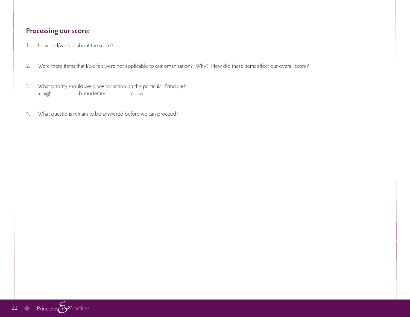- 1. How do I/we feel about the score?
- 2. Were there items that I/we felt were not applicable to our organization? Why? How did these items affect our overall score?
- 3. What priority should we place for action on this particular Principle? a. high b. moderate c. low
- 4. What questions remain to be answered before we can proceed?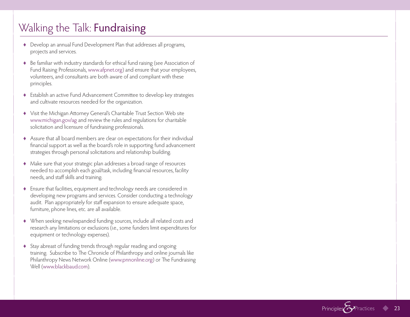### Walking the Talk: **Fundraising**

- ♦ Develop an annual Fund Development Plan that addresses all programs, projects and services.
- ♦ Be familiar with industry standards for ethical fund raising (see Association of Fund Raising Professionals, www.afpnet.org) and ensure that your employees, volunteers, and consultants are both aware of and compliant with these principles.
- ♦ Establish an active Fund Advancement Committee to develop key strategies and cultivate resources needed for the organization.
- ♦ Visit the Michigan Attorney General's Charitable Trust Section Web site www.michigan.gov/ag and review the rules and regulations for charitable solicitation and licensure of fundraising professionals.
- ♦ Assure that all board members are clear on expectations for their individual financial support as well as the board's role in supporting fund advancement strategies through personal solicitations and relationship building.
- ♦ Make sure that your strategic plan addresses a broad range of resources needed to accomplish each goal/task, including financial resources, facility needs, and staff skills and training.
- ♦ Ensure that facilities, equipment and technology needs are considered in developing new programs and services. Consider conducting a technology audit. Plan appropriately for staff expansion to ensure adequate space, furniture, phone lines, etc. are all available.
- ♦ When seeking new/expanded funding sources, include all related costs and research any limitations or exclusions (i.e., some funders limit expenditures for equipment or technology expenses).
- ♦ Stay abreast of funding trends through regular reading and ongoing training. Subscribe to The Chronicle of Philanthropy and online journals like Philanthropy News Network Online (www.pnnonline.org) or The Fundraising Well (www.blackbaud.com).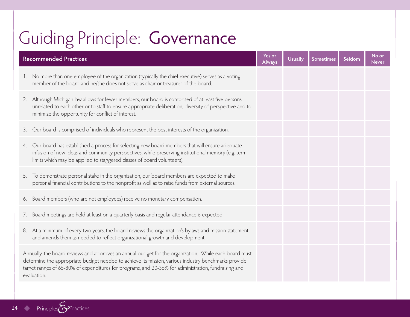## Guiding Principle: Governance

| <b>Recommended Practices</b>                                                                                                                                                                                                                                                                                                        | Yes or<br><b>Always</b> | <b>Usually</b> | <b>Sometimes</b> | Seldom | No or<br>Never |
|-------------------------------------------------------------------------------------------------------------------------------------------------------------------------------------------------------------------------------------------------------------------------------------------------------------------------------------|-------------------------|----------------|------------------|--------|----------------|
| No more than one employee of the organization (typically the chief executive) serves as a voting<br>$1_{\cdot}$<br>member of the board and he/she does not serve as chair or treasurer of the board.                                                                                                                                |                         |                |                  |        |                |
| 2. Although Michigan law allows for fewer members, our board is comprised of at least five persons<br>unrelated to each other or to staff to ensure appropriate deliberation, diversity of perspective and to<br>minimize the opportunity for conflict of interest.                                                                 |                         |                |                  |        |                |
| Our board is comprised of individuals who represent the best interests of the organization.<br>3.                                                                                                                                                                                                                                   |                         |                |                  |        |                |
| Our board has established a process for selecting new board members that will ensure adequate<br>4.<br>infusion of new ideas and community perspectives, while preserving institutional memory (e.g. term<br>limits which may be applied to staggered classes of board volunteers).                                                 |                         |                |                  |        |                |
| To demonstrate personal stake in the organization, our board members are expected to make<br>5.<br>personal financial contributions to the nonprofit as well as to raise funds from external sources.                                                                                                                               |                         |                |                  |        |                |
| 6. Board members (who are not employees) receive no monetary compensation.                                                                                                                                                                                                                                                          |                         |                |                  |        |                |
| Board meetings are held at least on a quarterly basis and regular attendance is expected.<br>7.                                                                                                                                                                                                                                     |                         |                |                  |        |                |
| 8. At a minimum of every two years, the board reviews the organization's bylaws and mission statement<br>and amends them as needed to reflect organizational growth and development.                                                                                                                                                |                         |                |                  |        |                |
| Annually, the board reviews and approves an annual budget for the organization. While each board must<br>determine the appropriate budget needed to achieve its mission, various industry benchmarks provide<br>target ranges of 65-80% of expenditures for programs, and 20-35% for administration, fundraising and<br>evaluation. |                         |                |                  |        |                |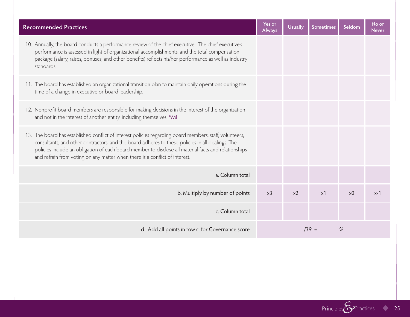| <b>Recommended Practices</b>                                                                                                                                                                                                                                                                                                                                                                       | Yes or<br><b>Always</b> | <b>Usually</b> | <b>Sometimes</b> | Seldom         | No or<br><b>Never</b> |
|----------------------------------------------------------------------------------------------------------------------------------------------------------------------------------------------------------------------------------------------------------------------------------------------------------------------------------------------------------------------------------------------------|-------------------------|----------------|------------------|----------------|-----------------------|
| 10. Annually, the board conducts a performance review of the chief executive. The chief executive's<br>performance is assessed in light of organizational accomplishments, and the total compensation<br>package (salary, raises, bonuses, and other benefits) reflects his/her performance as well as industry<br>standards.                                                                      |                         |                |                  |                |                       |
| 11. The board has established an organizational transition plan to maintain daily operations during the<br>time of a change in executive or board leadership.                                                                                                                                                                                                                                      |                         |                |                  |                |                       |
| 12. Nonprofit board members are responsible for making decisions in the interest of the organization<br>and not in the interest of another entity, including themselves. *MI                                                                                                                                                                                                                       |                         |                |                  |                |                       |
| 13. The board has established conflict of interest policies regarding board members, staff, volunteers,<br>consultants, and other contractors, and the board adheres to these policies in all dealings. The<br>policies include an obligation of each board member to disclose all material facts and relationships<br>and refrain from voting on any matter when there is a conflict of interest. |                         |                |                  |                |                       |
| a. Column total                                                                                                                                                                                                                                                                                                                                                                                    |                         |                |                  |                |                       |
| b. Multiply by number of points                                                                                                                                                                                                                                                                                                                                                                    | x <sub>3</sub>          | x2             | x1               | x <sub>0</sub> | $x-1$                 |
| c. Column total                                                                                                                                                                                                                                                                                                                                                                                    |                         |                |                  |                |                       |
| d. Add all points in row c. for Governance score                                                                                                                                                                                                                                                                                                                                                   |                         | $139 =$        | $\%$             |                |                       |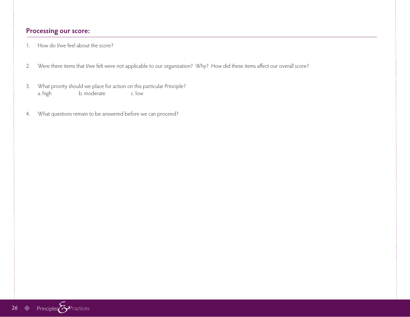- 1. How do I/we feel about the score?
- 2. Were there items that I/we felt were not applicable to our organization? Why? How did these items affect our overall score?
- 3. What priority should we place for action on this particular Principle? a. high b. moderate c. low
- 4. What questions remain to be answered before we can proceed?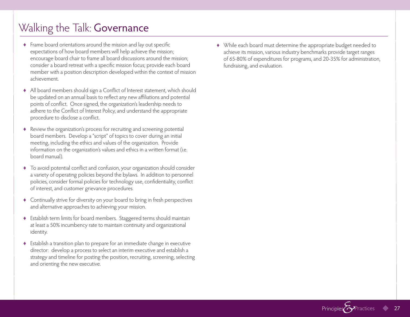### Walking the Talk: Governance

- ♦ Frame board orientations around the mission and lay out specific expectations of how board members will help achieve the mission; encourage board chair to frame all board discussions around the mission; consider a board retreat with a specific mission focus; provide each board member with a position description developed within the context of mission achievement.
- ♦ All board members should sign a Conflict of Interest statement, which should be updated on an annual basis to reflect any new affiliations and potential points of conflict. Once signed, the organization's leadership needs to adhere to the Conflict of Interest Policy, and understand the appropriate procedure to disclose a conflict.
- ♦ Review the organization's process for recruiting and screening potential board members. Develop a "script" of topics to cover during an initial meeting, including the ethics and values of the organization. Provide information on the organization's values and ethics in a written format (i.e. board manual).
- ♦ To avoid potential conflict and confusion, your organization should consider a variety of operating policies beyond the bylaws. In addition to personnel policies, consider formal policies for technology use, confidentiality, conflict of interest, and customer grievance procedures.
- ♦ Continually strive for diversity on your board to bring in fresh perspectives and alternative approaches to achieving your mission.
- ♦ Establish term limits for board members. Staggered terms should maintain at least a 50% incumbency rate to maintain continuity and organizational identity.
- ♦ Establish a transition plan to prepare for an immediate change in executive director: develop a process to select an interim executive and establish a strategy and timeline for posting the position, recruiting, screening, selecting and orienting the new executive.

♦ While each board must determine the appropriate budget needed to achieve its mission, various industry benchmarks provide target ranges of 65-80% of expenditures for programs, and 20-35% for administration, fundraising, and evaluation.

Principles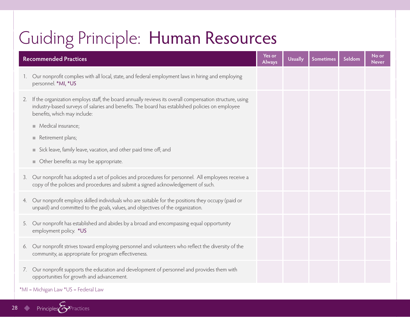## Guiding Principle: Human Resources

| <b>Recommended Practices</b>                                                                                                                                                                                                                     | Yes or<br><b>Always</b> | <b>Usually</b> | <b>Sometimes</b> | Seldom | No or<br><b>Never</b> |
|--------------------------------------------------------------------------------------------------------------------------------------------------------------------------------------------------------------------------------------------------|-------------------------|----------------|------------------|--------|-----------------------|
| Our nonprofit complies with all local, state, and federal employment laws in hiring and employing<br>1.<br>personnel. *MI, *US                                                                                                                   |                         |                |                  |        |                       |
| If the organization employs staff, the board annually reviews its overall compensation structure, using<br>2.<br>industry-based surveys of salaries and benefits. The board has established policies on employee<br>benefits, which may include: |                         |                |                  |        |                       |
| Medical insurance;                                                                                                                                                                                                                               |                         |                |                  |        |                       |
| Retirement plans;                                                                                                                                                                                                                                |                         |                |                  |        |                       |
| Sick leave, family leave, vacation, and other paid time off; and                                                                                                                                                                                 |                         |                |                  |        |                       |
| • Other benefits as may be appropriate.                                                                                                                                                                                                          |                         |                |                  |        |                       |
| Our nonprofit has adopted a set of policies and procedures for personnel. All employees receive a<br>3.<br>copy of the policies and procedures and submit a signed acknowledgement of such.                                                      |                         |                |                  |        |                       |
| Our nonprofit employs skilled individuals who are suitable for the positions they occupy (paid or<br>4.<br>unpaid) and committed to the goals, values, and objectives of the organization.                                                       |                         |                |                  |        |                       |
| Our nonprofit has established and abides by a broad and encompassing equal opportunity<br>5.<br>employment policy. *US                                                                                                                           |                         |                |                  |        |                       |
| Our nonprofit strives toward employing personnel and volunteers who reflect the diversity of the<br>6.<br>community, as appropriate for program effectiveness.                                                                                   |                         |                |                  |        |                       |
| Our nonprofit supports the education and development of personnel and provides them with<br>7.<br>opportunities for growth and advancement.                                                                                                      |                         |                |                  |        |                       |
| *MI = Michigan Law *US = Federal Law                                                                                                                                                                                                             |                         |                |                  |        |                       |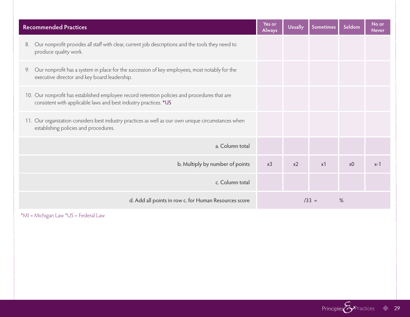| <b>Recommended Practices</b>                                                                                                                                     | Yes or<br><b>Always</b> | <b>Usually</b> | <b>Sometimes</b> | Seldom         | No or<br><b>Never</b> |
|------------------------------------------------------------------------------------------------------------------------------------------------------------------|-------------------------|----------------|------------------|----------------|-----------------------|
| Our nonprofit provides all staff with clear, current job descriptions and the tools they need to<br>8.<br>produce quality work.                                  |                         |                |                  |                |                       |
| 9. Our nonprofit has a system in place for the succession of key employees, most notably for the<br>executive director and key board leadership.                 |                         |                |                  |                |                       |
| 10. Our nonprofit has established employee record retention policies and procedures that are<br>consistent with applicable laws and best industry practices. *US |                         |                |                  |                |                       |
| 11. Our organization considers best industry practices as well as our own unique circumstances when<br>establishing policies and procedures.                     |                         |                |                  |                |                       |
| a. Column total                                                                                                                                                  |                         |                |                  |                |                       |
| b. Multiply by number of points                                                                                                                                  | x <sub>3</sub>          | x <sub>2</sub> | x1               | x <sub>0</sub> | $x-1$                 |
| c. Column total                                                                                                                                                  |                         |                |                  |                |                       |
| d. Add all points in row c. for Human Resources score                                                                                                            | %<br>$/33 =$            |                |                  |                |                       |

\*MI = Michigan Law \*US = Federal Law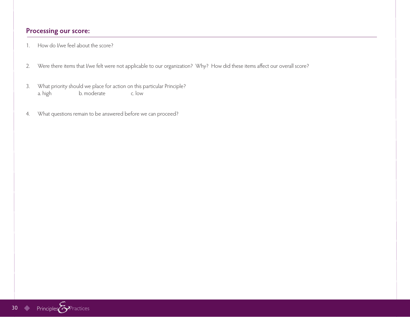- 1. How do I/we feel about the score?
- 2. Were there items that I/we felt were not applicable to our organization? Why? How did these items affect our overall score?
- 3. What priority should we place for action on this particular Principle? a. high b. moderate c. low
- 4. What questions remain to be answered before we can proceed?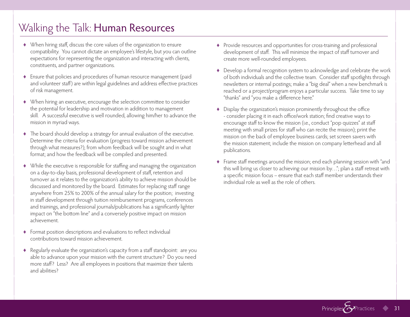### Walking the Talk: Human Resources

- ♦ When hiring staff, discuss the core values of the organization to ensure compatibility. You cannot dictate an employee's lifestyle, but you can outline expectations for representing the organization and interacting with clients, constituents, and partner organizations.
- ♦ Ensure that policies and procedures of human resource management (paid and volunteer staff) are within legal guidelines and address effective practices of risk management.
- ♦ When hiring an executive, encourage the selection committee to consider the potential for leadership and motivation in addition to management skill. A successful executive is well rounded, allowing him/her to advance the mission in myriad ways.
- ♦ The board should develop a strategy for annual evaluation of the executive. Determine the criteria for evaluation (progress toward mission achievement through what measures?); from whom feedback will be sought and in what format; and how the feedback will be compiled and presented.
- ♦ While the executive is responsible for staffing and managing the organization on a day-to-day basis, professional development of staff, retention and turnover as it relates to the organization's ability to achieve mission should be discussed and monitored by the board. Estimates for replacing staff range anywhere from 25% to 200% of the annual salary for the position; investing in staff development through tuition reimbursement programs, conferences and trainings, and professional journals/publications has a significantly lighter impact on "the bottom line" and a conversely positive impact on mission achievement.
- ♦ Format position descriptions and evaluations to reflect individual contributions toward mission achievement.
- ♦ Regularly evaluate the organization's capacity from a staff standpoint: are you able to advance upon your mission with the current structure? Do you need more staff? Less? Are all employees in positions that maximize their talents and abilities?
- ♦ Provide resources and opportunities for cross-training and professional development of staff. This will minimize the impact of staff turnover and create more well-rounded employees.
- ♦ Develop a formal recognition system to acknowledge and celebrate the work of both individuals and the collective team. Consider staff spotlights through newsletters or internal postings; make a "big deal" when a new benchmark is reached or a project/program enjoys a particular success. Take time to say "thanks" and "you make a difference here."
- ♦ Display the organization's mission prominently throughout the office - consider placing it in each office/work station; find creative ways to encourage staff to know the mission (i.e., conduct "pop quizzes" at staff meeting with small prizes for staff who can recite the mission); print the mission on the back of employee business cards; set screen savers with the mission statement; include the mission on company letterhead and all publications.
- ♦ Frame staff meetings around the mission; end each planning session with "and this will bring us closer to achieving our mission by…"; plan a staff retreat with a specific mission focus – ensure that each staff member understands their individual role as well as the role of others.

Principles<sup>2</sup> Practices 31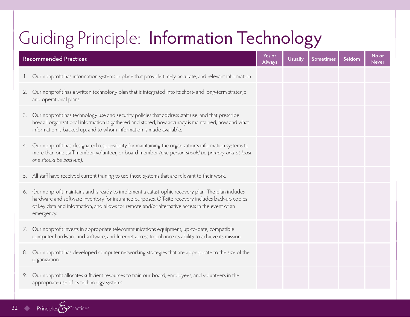## Guiding Principle: Information Technology

|    | <b>Recommended Practices</b>                                                                                                                                                                                                                                                                                            | Yes or<br><b>Always</b> | <b>Usually</b> | Sometimes | Seldom | No or<br><b>Never</b> |
|----|-------------------------------------------------------------------------------------------------------------------------------------------------------------------------------------------------------------------------------------------------------------------------------------------------------------------------|-------------------------|----------------|-----------|--------|-----------------------|
|    | Our nonprofit has information systems in place that provide timely, accurate, and relevant information.                                                                                                                                                                                                                 |                         |                |           |        |                       |
| 2. | Our nonprofit has a written technology plan that is integrated into its short- and long-term strategic<br>and operational plans.                                                                                                                                                                                        |                         |                |           |        |                       |
| 3. | Our nonprofit has technology use and security policies that address staff use, and that prescribe<br>how all organizational information is gathered and stored, how accuracy is maintained, how and what<br>information is backed up, and to whom information is made available.                                        |                         |                |           |        |                       |
| 4. | Our nonprofit has designated responsibility for maintaining the organization's information systems to<br>more than one staff member, volunteer, or board member (one person should be primary and at least<br>one should be back-up).                                                                                   |                         |                |           |        |                       |
|    | 5. All staff have received current training to use those systems that are relevant to their work.                                                                                                                                                                                                                       |                         |                |           |        |                       |
| 6. | Our nonprofit maintains and is ready to implement a catastrophic recovery plan. The plan includes<br>hardware and software inventory for insurance purposes. Off-site recovery includes back-up copies<br>of key data and information, and allows for remote and/or alternative access in the event of an<br>emergency. |                         |                |           |        |                       |
| 7. | Our nonprofit invests in appropriate telecommunications equipment, up-to-date, compatible<br>computer hardware and software, and Internet access to enhance its ability to achieve its mission.                                                                                                                         |                         |                |           |        |                       |
| 8. | Our nonprofit has developed computer networking strategies that are appropriate to the size of the<br>organization.                                                                                                                                                                                                     |                         |                |           |        |                       |
| 9. | Our nonprofit allocates sufficient resources to train our board, employees, and volunteers in the<br>appropriate use of its technology systems.                                                                                                                                                                         |                         |                |           |        |                       |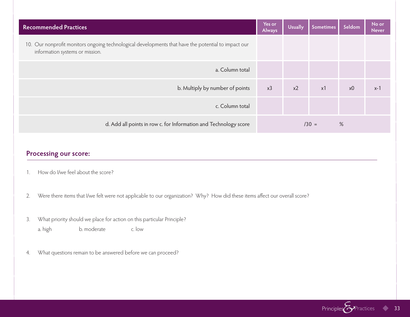| <b>Recommended Practices</b>                                                                                                           | Yes or<br><b>Always</b> | <b>Usually</b> | Sometimes | Seldom         | No or<br><b>Never</b> |
|----------------------------------------------------------------------------------------------------------------------------------------|-------------------------|----------------|-----------|----------------|-----------------------|
| 10. Our nonprofit monitors ongoing technological developments that have the potential to impact our<br>information systems or mission. |                         |                |           |                |                       |
| a. Column total                                                                                                                        |                         |                |           |                |                       |
| b. Multiply by number of points                                                                                                        | x3                      | $x^2$          | x1        | x <sub>0</sub> | $x-1$                 |
| c. Column total                                                                                                                        |                         |                |           |                |                       |
| d. Add all points in row c. for Information and Technology score                                                                       | $/30 =$<br>$\%$         |                |           |                |                       |

- 1. How do I/we feel about the score?
- 2. Were there items that I/we felt were not applicable to our organization? Why? How did these items affect our overall score?
- 3. What priority should we place for action on this particular Principle? a. high b. moderate c. low
- 4. What questions remain to be answered before we can proceed?

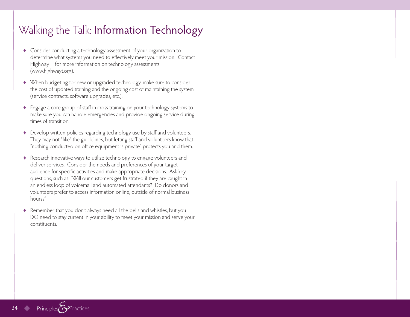### Walking the Talk: Information Technology

- ♦ Consider conducting a technology assessment of your organization to determine what systems you need to effectively meet your mission. Contact Highway T for more information on technology assessments (www.highwayt.org).
- ♦ When budgeting for new or upgraded technology, make sure to consider the cost of updated training and the ongoing cost of maintaining the system (service contracts, software upgrades, etc.).
- ♦ Engage a core group of staff in cross training on your technology systems to make sure you can handle emergencies and provide ongoing service during times of transition.
- ♦ Develop written policies regarding technology use by staff and volunteers. They may not "like" the guidelines, but letting staff and volunteers know that "nothing conducted on office equipment is private" protects you and them.
- ♦ Research innovative ways to utilize technology to engage volunteers and deliver services. Consider the needs and preferences of your target audience for specific activities and make appropriate decisions. Ask key questions, such as: "Will our customers get frustrated if they are caught in an endless loop of voicemail and automated attendants? Do donors and volunteers prefer to access information online, outside of normal business hours?"
- ♦ Remember that you don't always need all the bells and whistles, but you DO need to stay current in your ability to meet your mission and serve your constituents.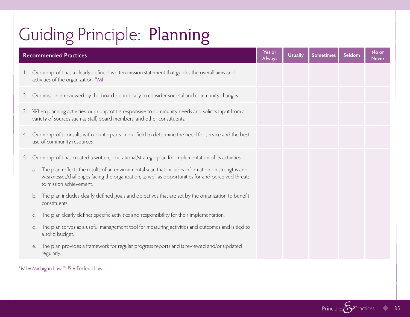## Guiding Principle: Planning

|             | <b>Recommended Practices</b>                                                                                                                                                                                                            | Yes or<br><b>Always</b> | <b>Usually</b> | <b>Sometimes</b> | Seldom | No or<br><b>Never</b> |
|-------------|-----------------------------------------------------------------------------------------------------------------------------------------------------------------------------------------------------------------------------------------|-------------------------|----------------|------------------|--------|-----------------------|
| $1_{\cdot}$ | Our nonprofit has a clearly defined, written mission statement that guides the overall aims and<br>activities of the organization. *MI                                                                                                  |                         |                |                  |        |                       |
|             | 2. Our mission is reviewed by the board periodically to consider societal and community changes.                                                                                                                                        |                         |                |                  |        |                       |
| 3.          | When planning activities, our nonprofit is responsive to community needs and solicits input from a<br>variety of sources such as staff, board members, and other constituents.                                                          |                         |                |                  |        |                       |
| 4.          | Our nonprofit consults with counterparts in our field to determine the need for service and the best<br>use of community resources.                                                                                                     |                         |                |                  |        |                       |
| 5.          | Our nonprofit has created a written, operational/strategic plan for implementation of its activities:                                                                                                                                   |                         |                |                  |        |                       |
|             | The plan reflects the results of an environmental scan that includes information on strengths and<br>a.<br>weaknesses/challenges facing the organization, as well as opportunities for and perceived threats<br>to mission achievement. |                         |                |                  |        |                       |
|             | The plan includes clearly defined goals and objectives that are set by the organization to benefit<br>b.<br>constituents.                                                                                                               |                         |                |                  |        |                       |
|             | The plan clearly defines specific activities and responsibility for their implementation.<br>C.                                                                                                                                         |                         |                |                  |        |                       |
|             | The plan serves as a useful management tool for measuring activities and outcomes and is tied to<br>d.<br>a solid budget.                                                                                                               |                         |                |                  |        |                       |
|             | The plan provides a framework for regular progress reports and is reviewed and/or updated<br>е.<br>regularly.                                                                                                                           |                         |                |                  |        |                       |

\*MI = Michigan Law \*US = Federal Law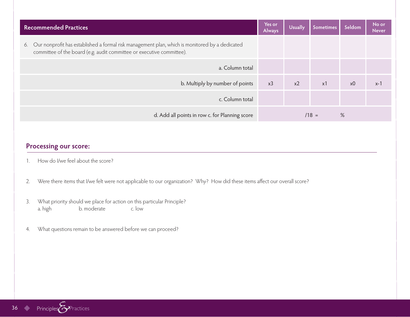| Recommended Practices                                                                                                                                                         | Yes or<br>Always | <b>Usually</b> | <b>Sometimes</b> | Seldom         | No or<br><b>Never</b> |
|-------------------------------------------------------------------------------------------------------------------------------------------------------------------------------|------------------|----------------|------------------|----------------|-----------------------|
| Our nonprofit has established a formal risk management plan, which is monitored by a dedicated<br>6.<br>committee of the board (e.g. audit committee or executive committee). |                  |                |                  |                |                       |
| a. Column total                                                                                                                                                               |                  |                |                  |                |                       |
| b. Multiply by number of points                                                                                                                                               | x3               | $x^2$          | x1               | x <sub>0</sub> | $x-1$                 |
| c. Column total                                                                                                                                                               |                  |                |                  |                |                       |
| d. Add all points in row c. for Planning score                                                                                                                                |                  |                | $/18 =$          | %              |                       |

- 1. How do I/we feel about the score?
- 2. Were there items that I/we felt were not applicable to our organization? Why? How did these items affect our overall score?
- 3. What priority should we place for action on this particular Principle? a. high b. moderate c. low
- 4. What questions remain to be answered before we can proceed?

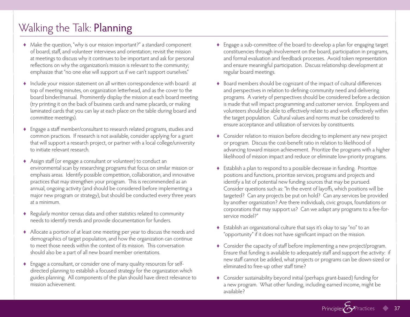### Walking the Talk: Planning

- ♦ Make the question, "why is our mission important?" a standard component of board, staff, and volunteer interviews and orientation; revisit the mission at meetings to discuss why it continues to be important and ask for personal reflections on why the organization's mission is relevant to the community; emphasize that "no one else will support us if we can't support ourselves."
- ♦ Include your mission statement on all written correspondence with board: at top of meeting minutes, on organization letterhead, and as the cover to the board binder/manual. Prominently display the mission at each board meeting (try printing it on the back of business cards and name placards, or making laminated cards that you can lay at each place on the table during board and committee meetings).
- ♦ Engage a staff member/consultant to research related programs, studies and common practices. If research is not available, consider applying for a grant that will support a research project, or partner with a local college/university to initiate relevant research.
- ♦ Assign staff (or engage a consultant or volunteer) to conduct an environmental scan by researching programs that focus on similar mission or emphasis areas. Identify possible competition, collaboration, and innovative practices that may strengthen your program. This is recommended as an annual, ongoing activity (and should be considered before implementing a major new program or strategy), but should be conducted every three years at a minimum.
- ♦ Regularly monitor census data and other statistics related to community needs to identify trends and provide documentation for funders.
- ♦ Allocate a portion of at least one meeting per year to discuss the needs and demographics of target population, and how the organization can continue to meet those needs within the context of its mission. This conversation should also be a part of all new board member orientations.
- ♦ Engage a consultant, or consider one of many quality resources for selfdirected planning to establish a focused strategy for the organization which guides planning. All components of the plan should have direct relevance to mission achievement.
- ♦ Engage a sub-committee of the board to develop a plan for engaging target constituencies through involvement on the board, participation in programs, and formal evaluation and feedback processes. Avoid token representation and ensure meaningful participation. Discuss relationship development at regular board meetings.
- ♦ Board members should be cognizant of the impact of cultural differences and perspectives in relation to defining community need and delivering programs. A variety of perspectives should be considered before a decision is made that will impact programming and customer service. Employees and volunteers should be able to effectively relate to and work effectively within the target population. Cultural values and norms must be considered to ensure acceptance and utilization of services by constituents.
- ♦ Consider relation to mission before deciding to implement any new project or program. Discuss the cost-benefit ratio in relation to likelihood of advancing toward mission achievement. Prioritize the programs with a higher likelihood of mission impact and reduce or eliminate low-priority programs.
- ♦ Establish a plan to respond to a possible decrease in funding. Prioritize positions and functions, prioritize services, programs and projects and identify a list of potential new funding sources that may be pursued. Consider questions such as: "In the event of layoffs, which positions will be targeted? Can any projects be put on hold? Can any services be provided by another organization? Are there individuals, civic groups, foundations or corporations that may support us? Can we adapt any programs to a fee-forservice model?"
- ♦ Establish an organizational culture that says it's okay to say "no" to an "opportunity" if it does not have significant impact on the mission.
- ♦ Consider the capacity of staff before implementing a new project/program. Ensure that funding is available to adequately staff and support the activity: if new staff cannot be added, what projects or programs can be down-sized or eliminated to free-up other staff time?
- ♦ Consider sustainability beyond initial (perhaps grant-based) funding for a new program. What other funding, including earned income, might be available?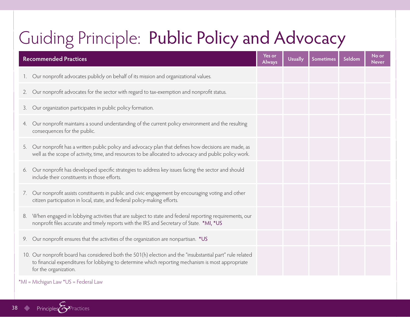## Guiding Principle: Public Policy and Advocacy

| <b>Recommended Practices</b>                                                                                                                                                                                                            | Yes or<br>Always | <b>Usually</b> | <b>Sometimes</b> | Seldom | No or<br><b>Never</b> |
|-----------------------------------------------------------------------------------------------------------------------------------------------------------------------------------------------------------------------------------------|------------------|----------------|------------------|--------|-----------------------|
| Our nonprofit advocates publicly on behalf of its mission and organizational values.                                                                                                                                                    |                  |                |                  |        |                       |
| 2. Our nonprofit advocates for the sector with regard to tax-exemption and nonprofit status.                                                                                                                                            |                  |                |                  |        |                       |
| 3. Our organization participates in public policy formation.                                                                                                                                                                            |                  |                |                  |        |                       |
| Our nonprofit maintains a sound understanding of the current policy environment and the resulting<br>4.<br>consequences for the public.                                                                                                 |                  |                |                  |        |                       |
| Our nonprofit has a written public policy and advocacy plan that defines how decisions are made, as<br>5.<br>well as the scope of activity, time, and resources to be allocated to advocacy and public policy work.                     |                  |                |                  |        |                       |
| Our nonprofit has developed specific strategies to address key issues facing the sector and should<br>6.<br>include their constituents in those efforts.                                                                                |                  |                |                  |        |                       |
| 7. Our nonprofit assists constituents in public and civic engagement by encouraging voting and other<br>citizen participation in local, state, and federal policy-making efforts.                                                       |                  |                |                  |        |                       |
| When engaged in lobbying activities that are subject to state and federal reporting requirements, our<br>8.<br>nonprofit files accurate and timely reports with the IRS and Secretary of State. *MI, *US                                |                  |                |                  |        |                       |
| 9. Our nonprofit ensures that the activities of the organization are nonpartisan. *US                                                                                                                                                   |                  |                |                  |        |                       |
| 10. Our nonprofit board has considered both the 501(h) election and the "insubstantial part" rule related<br>to financial expenditures for lobbying to determine which reporting mechanism is most appropriate<br>for the organization. |                  |                |                  |        |                       |

\*MI = Michigan Law \*US = Federal Law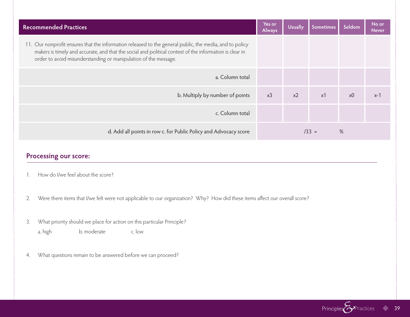| <b>Recommended Practices</b>                                                                                                                                                                                                                                                          | Yes or<br><b>Always</b> | <b>Usually</b> | <b>Sometimes</b> | Seldom         | No or<br><b>Never</b> |
|---------------------------------------------------------------------------------------------------------------------------------------------------------------------------------------------------------------------------------------------------------------------------------------|-------------------------|----------------|------------------|----------------|-----------------------|
| 11. Our nonprofit ensures that the information released to the general public, the media, and to policy<br>makers is timely and accurate, and that the social and political context of the information is clear in<br>order to avoid misunderstanding or manipulation of the message. |                         |                |                  |                |                       |
| a. Column total                                                                                                                                                                                                                                                                       |                         |                |                  |                |                       |
| b. Multiply by number of points                                                                                                                                                                                                                                                       | x <sup>3</sup>          | $x^2$          | $\times$ 1       | x <sub>0</sub> | $x-1$                 |
| c. Column total                                                                                                                                                                                                                                                                       |                         |                |                  |                |                       |
| d. Add all points in row c. for Public Policy and Advocacy score                                                                                                                                                                                                                      |                         | $/33 =$        | %                |                |                       |

- 1. How do I/we feel about the score?
- 2. Were there items that I/we felt were not applicable to our organization? Why? How did these items affect our overall score?
- 3. What priority should we place for action on this particular Principle? a. high b. moderate c. low
- 4. What questions remain to be answered before we can proceed?

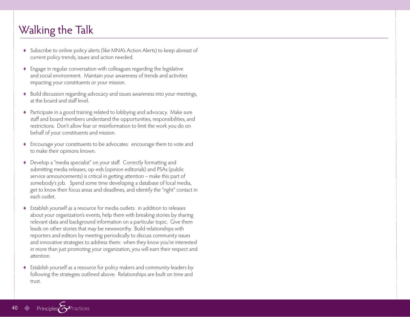### Walking the Talk

- ♦ Subscribe to online policy alerts (like MNA's Action Alerts) to keep abreast of current policy trends, issues and action needed.
- ♦ Engage in regular conversation with colleagues regarding the legislative and social environment. Maintain your awareness of trends and activities impacting your constituents or your mission.
- ♦ Build discussion regarding advocacy and issues awareness into your meetings, at the board and staff level.
- ♦ Participate in a good training related to lobbying and advocacy. Make sure staff and board members understand the opportunities, responsibilities, and restrictions. Don't allow fear or misinformation to limit the work you do on behalf of your constituents and mission.
- ♦ Encourage your constituents to be advocates: encourage them to vote and to make their opinions known.
- ♦ Develop a "media specialist" on your staff. Correctly formatting and submitting media releases, op-eds (opinion editorials) and PSAs (public service announcements) is critical in getting attention – make this part of somebody's job. Spend some time developing a database of local media, get to know their focus areas and deadlines, and identify the "right" contact in each outlet.
- ♦ Establish yourself as a resource for media outlets: in addition to releases about your organization's events, help them with breaking stories by sharing relevant data and background information on a particular topic. Give them leads on other stories that may be newsworthy. Build relationships with reporters and editors by meeting periodically to discuss community issues and innovative strategies to address them: when they know you're interested in more than just promoting your organization, you will earn their respect and attention.
- ♦ Establish yourself as a resource for policy makers and community leaders by following the strategies outlined above. Relationships are built on time and trust.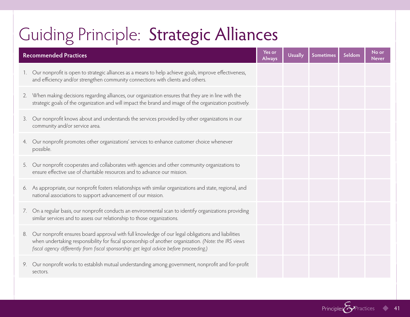## Guiding Principle: Strategic Alliances

|    | <b>Recommended Practices</b>                                                                                                                                                                                                                                                                         | Yes or<br><b>Always</b> | <b>Usually</b> | <b>Sometimes</b> | Seldom | No or<br><b>Never</b> |
|----|------------------------------------------------------------------------------------------------------------------------------------------------------------------------------------------------------------------------------------------------------------------------------------------------------|-------------------------|----------------|------------------|--------|-----------------------|
|    | 1. Our nonprofit is open to strategic alliances as a means to help achieve goals, improve effectiveness,<br>and efficiency and/or strengthen community connections with clients and others.                                                                                                          |                         |                |                  |        |                       |
|    | 2. When making decisions regarding alliances, our organization ensures that they are in line with the<br>strategic goals of the organization and will impact the brand and image of the organization positively.                                                                                     |                         |                |                  |        |                       |
| 3. | Our nonprofit knows about and understands the services provided by other organizations in our<br>community and/or service area.                                                                                                                                                                      |                         |                |                  |        |                       |
| 4. | Our nonprofit promotes other organizations' services to enhance customer choice whenever<br>possible.                                                                                                                                                                                                |                         |                |                  |        |                       |
| 5. | Our nonprofit cooperates and collaborates with agencies and other community organizations to<br>ensure effective use of charitable resources and to advance our mission.                                                                                                                             |                         |                |                  |        |                       |
|    | 6. As appropriate, our nonprofit fosters relationships with similar organizations and state, regional, and<br>national associations to support advancement of our mission.                                                                                                                           |                         |                |                  |        |                       |
| 7. | On a regular basis, our nonprofit conducts an environmental scan to identify organizations providing<br>similar services and to assess our relationship to those organizations.                                                                                                                      |                         |                |                  |        |                       |
| 8. | Our nonprofit ensures board approval with full knowledge of our legal obligations and liabilities<br>when undertaking responsibility for fiscal sponsorship of another organization. (Note: the IRS views<br>fiscal agency differently from fiscal sponsorship: get legal advice before proceeding.) |                         |                |                  |        |                       |
|    | 9. Our nonprofit works to establish mutual understanding among government, nonprofit and for-profit<br>sectors.                                                                                                                                                                                      |                         |                |                  |        |                       |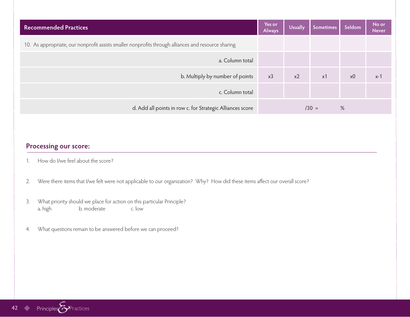| <b>Recommended Practices</b>                                                                         | Yes or<br>Always | <b>Usually</b> | Sometimes | Seldom         | No or<br><b>Never</b> |
|------------------------------------------------------------------------------------------------------|------------------|----------------|-----------|----------------|-----------------------|
| 10. As appropriate, our nonprofit assists smaller nonprofits through alliances and resource sharing. |                  |                |           |                |                       |
| a. Column total                                                                                      |                  |                |           |                |                       |
| b. Multiply by number of points                                                                      | x3               | x <sub>2</sub> | x1        | x <sub>0</sub> | $x-1$                 |
| c. Column total                                                                                      |                  |                |           |                |                       |
| d. Add all points in row c. for Strategic Alliances score                                            |                  |                | $/30 =$   | %              |                       |

- 1. How do I/we feel about the score?
- 2. Were there items that I/we felt were not applicable to our organization? Why? How did these items affect our overall score?
- 3. What priority should we place for action on this particular Principle? a. high b. moderate c. low
- 4. What questions remain to be answered before we can proceed?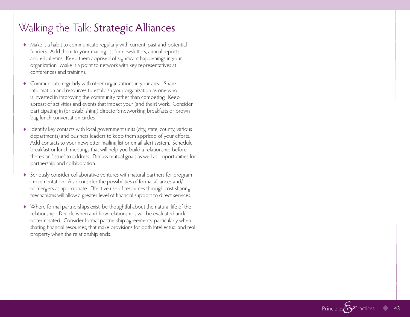### Walking the Talk: Strategic Alliances

- ♦ Make it a habit to communicate regularly with current, past and potential funders. Add them to your mailing list for newsletters, annual reports and e-bulletins. Keep them apprised of significant happenings in your organization. Make it a point to network with key representatives at conferences and trainings.
- ♦ Communicate regularly with other organizations in your area. Share information and resources to establish your organization as one who is invested in improving the community rather than competing. Keep abreast of activities and events that impact your (and their) work. Consider participating in (or establishing) director's networking breakfasts or brown bag lunch conversation circles.
- ♦ Identify key contacts with local government units (city, state, county, various departments) and business leaders to keep them apprised of your efforts. Add contacts to your newsletter mailing list or email alert system. Schedule breakfast or lunch meetings that will help you build a relationship before there's an "issue" to address. Discuss mutual goals as well as opportunities for partnership and collaboration.
- ♦ Seriously consider collaborative ventures with natural partners for program implementation. Also consider the possibilities of formal alliances and/ or mergers as appropriate. Effective use of resources through cost-sharing mechanisms will allow a greater level of financial support to direct services.
- ♦ Where formal partnerships exist, be thoughtful about the natural life of the relationship. Decide when and how relationships will be evaluated and/ or terminated. Consider formal partnership agreements, particularly when sharing financial resources, that make provisions for both intellectual and real property when the relationship ends.

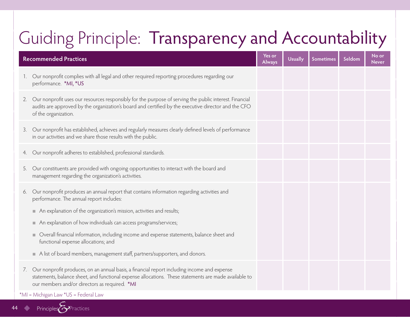## Guiding Principle: Transparency and Accountability

| <b>Recommended Practices</b> |                                                                                                                                                                                                                                                       |  | Usually | <b>Sometimes</b> | Seldom | No or<br><b>Never</b> |  |
|------------------------------|-------------------------------------------------------------------------------------------------------------------------------------------------------------------------------------------------------------------------------------------------------|--|---------|------------------|--------|-----------------------|--|
| $1_{\cdot}$                  | Our nonprofit complies with all legal and other required reporting procedures regarding our<br>performance. *MI, *US                                                                                                                                  |  |         |                  |        |                       |  |
|                              | 2. Our nonprofit uses our resources responsibly for the purpose of serving the public interest. Financial<br>audits are approved by the organization's board and certified by the executive director and the CFO<br>of the organization.              |  |         |                  |        |                       |  |
| 3.                           | Our nonprofit has established, achieves and regularly measures clearly defined levels of performance<br>in our activities and we share those results with the public.                                                                                 |  |         |                  |        |                       |  |
| 4.                           | Our nonprofit adheres to established, professional standards.                                                                                                                                                                                         |  |         |                  |        |                       |  |
|                              | 5. Our constituents are provided with ongoing opportunities to interact with the board and<br>management regarding the organization's activities.                                                                                                     |  |         |                  |        |                       |  |
| 6.                           | Our nonprofit produces an annual report that contains information regarding activities and<br>performance. The annual report includes:                                                                                                                |  |         |                  |        |                       |  |
|                              | An explanation of the organization's mission, activities and results;                                                                                                                                                                                 |  |         |                  |        |                       |  |
|                              | An explanation of how individuals can access programs/services;                                                                                                                                                                                       |  |         |                  |        |                       |  |
|                              | Overall financial information, including income and expense statements, balance sheet and<br>functional expense allocations; and                                                                                                                      |  |         |                  |        |                       |  |
|                              | A list of board members, management staff, partners/supporters, and donors.                                                                                                                                                                           |  |         |                  |        |                       |  |
| 7.                           | Our nonprofit produces, on an annual basis, a financial report including income and expense<br>statements, balance sheet, and functional expense allocations. These statements are made available to<br>our members and/or directors as required. *MI |  |         |                  |        |                       |  |
|                              | *MI = Michigan Law *US = Federal Law                                                                                                                                                                                                                  |  |         |                  |        |                       |  |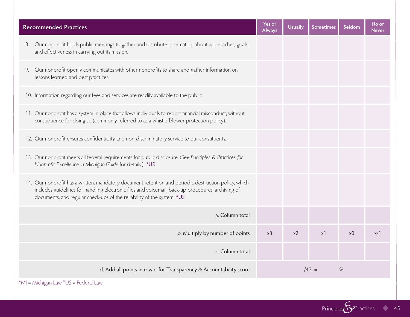| <b>Recommended Practices</b>                                                                                                                                                                                                                                                        | Yes or<br>Always | <b>Usually</b> | <b>Sometimes</b> | Seldom         | No or<br><b>Never</b> |
|-------------------------------------------------------------------------------------------------------------------------------------------------------------------------------------------------------------------------------------------------------------------------------------|------------------|----------------|------------------|----------------|-----------------------|
| Our nonprofit holds public meetings to gather and distribute information about approaches, goals,<br>8.<br>and effectiveness in carrying out its mission.                                                                                                                           |                  |                |                  |                |                       |
| Our nonprofit openly communicates with other nonprofits to share and gather information on<br>9.<br>lessons learned and best practices.                                                                                                                                             |                  |                |                  |                |                       |
| 10. Information regarding our fees and services are readily available to the public.                                                                                                                                                                                                |                  |                |                  |                |                       |
| 11. Our nonprofit has a system in place that allows individuals to report financial misconduct, without<br>consequence for doing so (commonly referred to as a whistle-blower protection policy).                                                                                   |                  |                |                  |                |                       |
| 12. Our nonprofit ensures confidentiality and non-discriminatory service to our constituents.                                                                                                                                                                                       |                  |                |                  |                |                       |
| 13. Our nonprofit meets all federal requirements for public disclosure. (See Principles & Practices for<br>Nonprofit Excellence in Michigan Guide for details.) *US                                                                                                                 |                  |                |                  |                |                       |
| 14. Our nonprofit has a written, mandatory document retention and periodic destruction policy, which<br>includes guidelines for handling electronic files and voicemail, back-up procedures, archiving of<br>documents, and regular check-ups of the reliability of the system. *US |                  |                |                  |                |                       |
| a. Column total                                                                                                                                                                                                                                                                     |                  |                |                  |                |                       |
| b. Multiply by number of points                                                                                                                                                                                                                                                     | x <sup>3</sup>   | x <sub>2</sub> | x1               | x <sub>0</sub> | $x-1$                 |
| c. Column total                                                                                                                                                                                                                                                                     |                  |                |                  |                |                       |
| d. Add all points in row c. for Transparency & Accountability score                                                                                                                                                                                                                 |                  |                | $142 =$          | %              |                       |

\*MI = Michigan Law \*US = Federal Law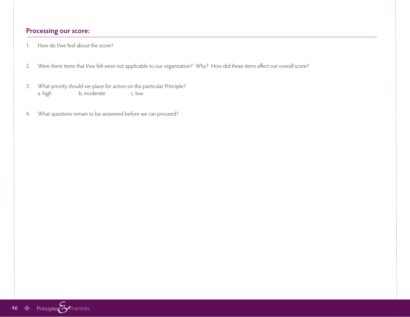- 1. How do I/we feel about the score?
- 2. Were there items that I/we felt were not applicable to our organization? Why? How did these items affect our overall score?
- 3. What priority should we place for action on this particular Principle? a. high b. moderate c. low
- 4. What questions remain to be answered before we can proceed?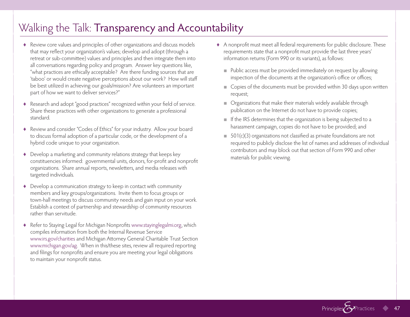### Walking the Talk: Transparency and Accountability

- ♦ Review core values and principles of other organizations and discuss models that may reflect your organization's values; develop and adopt (through a retreat or sub-committee) values and principles and then integrate them into all conversations regarding policy and program. Answer key questions like, "what practices are ethically acceptable? Are there funding sources that are 'taboo' or would create negative perceptions about our work? How will staff be best utilized in achieving our goals/mission? Are volunteers an important part of how we want to deliver services?"
- ♦ Research and adopt "good practices" recognized within your field of service. Share these practices with other organizations to generate a professional standard.
- ♦ Review and consider "Codes of Ethics" for your industry. Allow your board to discuss formal adoption of a particular code, or the development of a hybrid code unique to your organization.
- ♦ Develop a marketing and community relations strategy that keeps key constituencies informed: governmental units, donors, for-profit and nonprofit organizations. Share annual reports, newsletters, and media releases with targeted individuals.
- ♦ Develop a communication strategy to keep in contact with community members and key groups/organizations. Invite them to focus groups or town-hall meetings to discuss community needs and gain input on your work. Establish a context of partnership and stewardship of community resources rather than servitude.
- ♦ Refer to Staying Legal for Michigan Nonprofits www.stayinglegalmi.org, which compiles information from both the Internal Revenue Service www.irs.gov/charities and Michigan Attorney General Charitable Trust Section www.michigan.gov/ag. When in this/these sites, review all required reporting and filings for nonprofits and ensure you are meeting your legal obligations to maintain your nonprofit status.
- ♦ A nonprofit must meet all federal requirements for public disclosure. These requirements state that a nonprofit must provide the last three years' information returns (Form 990 or its variants), as follows:
	- Public access must be provided immediately on request by allowing inspection of the documents at the organization's office or offices;
	- Copies of the documents must be provided within 30 days upon written request;
	- Organizations that make their materials widely available through publication on the Internet do not have to provide copies;
	- If the IRS determines that the organization is being subjected to a harassment campaign, copies do not have to be provided; and
	- 501(c)(3) organizations not classified as private foundations are not required to publicly disclose the list of names and addresses of individual contributors and may block out that section of Form 990 and other materials for public viewing.

Principles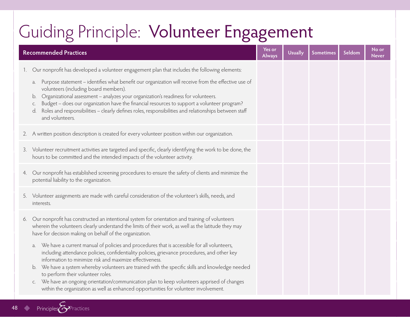## Guiding Principle: Volunteer Engagement

| <b>Recommended Practices</b>                                                                                                                                                                                                                                                                                                                                                                                                                                                                                                                                                                       | Yes or<br><b>Always</b> | <b>Usually</b> | <b>Sometimes</b> | Seldom | No or<br><b>Never</b> |
|----------------------------------------------------------------------------------------------------------------------------------------------------------------------------------------------------------------------------------------------------------------------------------------------------------------------------------------------------------------------------------------------------------------------------------------------------------------------------------------------------------------------------------------------------------------------------------------------------|-------------------------|----------------|------------------|--------|-----------------------|
| Our nonprofit has developed a volunteer engagement plan that includes the following elements:<br>1.                                                                                                                                                                                                                                                                                                                                                                                                                                                                                                |                         |                |                  |        |                       |
| Purpose statement - identifies what benefit our organization will receive from the effective use of<br>a.<br>volunteers (including board members).<br>Organizational assessment - analyzes your organization's readiness for volunteers.<br>b.<br>Budget - does our organization have the financial resources to support a volunteer program?<br>C.<br>Roles and responsibilities - clearly defines roles, responsibilities and relationships between staff<br>and volunteers.                                                                                                                     |                         |                |                  |        |                       |
| 2. A written position description is created for every volunteer position within our organization.                                                                                                                                                                                                                                                                                                                                                                                                                                                                                                 |                         |                |                  |        |                       |
| 3. Volunteer recruitment activities are targeted and specific, clearly identifying the work to be done, the<br>hours to be committed and the intended impacts of the volunteer activity.                                                                                                                                                                                                                                                                                                                                                                                                           |                         |                |                  |        |                       |
| Our nonprofit has established screening procedures to ensure the safety of clients and minimize the<br>4.<br>potential liability to the organization.                                                                                                                                                                                                                                                                                                                                                                                                                                              |                         |                |                  |        |                       |
| 5. Volunteer assignments are made with careful consideration of the volunteer's skills, needs, and<br>interests.                                                                                                                                                                                                                                                                                                                                                                                                                                                                                   |                         |                |                  |        |                       |
| Our nonprofit has constructed an intentional system for orientation and training of volunteers<br>6.<br>wherein the volunteers clearly understand the limits of their work, as well as the latitude they may<br>have for decision making on behalf of the organization.                                                                                                                                                                                                                                                                                                                            |                         |                |                  |        |                       |
| We have a current manual of policies and procedures that is accessible for all volunteers,<br>a.<br>including attendance policies, confidentiality policies, grievance procedures, and other key<br>information to minimize risk and maximize effectiveness.<br>We have a system whereby volunteers are trained with the specific skills and knowledge needed<br>b.<br>to perform their volunteer roles.<br>We have an ongoing orientation/communication plan to keep volunteers apprised of changes<br>C.<br>within the organization as well as enhanced opportunities for volunteer involvement. |                         |                |                  |        |                       |
|                                                                                                                                                                                                                                                                                                                                                                                                                                                                                                                                                                                                    |                         |                |                  |        |                       |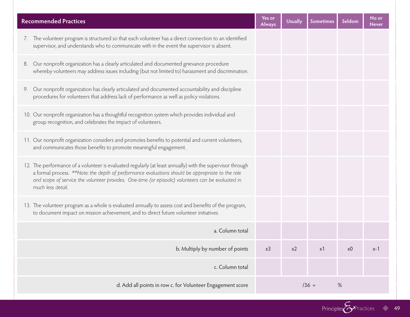| <b>Recommended Practices</b>                                                                                                                                                                                                                                                                                                             | Yes or<br><b>Always</b> | <b>Usually</b> | Sometimes | Seldom         | No or<br><b>Never</b> |
|------------------------------------------------------------------------------------------------------------------------------------------------------------------------------------------------------------------------------------------------------------------------------------------------------------------------------------------|-------------------------|----------------|-----------|----------------|-----------------------|
| 7. The volunteer program is structured so that each volunteer has a direct connection to an identified<br>supervisor, and understands who to communicate with in the event the supervisor is absent.                                                                                                                                     |                         |                |           |                |                       |
| 8. Our nonprofit organization has a clearly articulated and documented grievance procedure<br>whereby volunteers may address issues including (but not limited to) harassment and discrimination.                                                                                                                                        |                         |                |           |                |                       |
| 9. Our nonprofit organization has clearly articulated and documented accountability and discipline<br>procedures for volunteers that address lack of performance as well as policy violations.                                                                                                                                           |                         |                |           |                |                       |
| 10. Our nonprofit organization has a thoughtful recognition system which provides individual and<br>group recognition, and celebrates the impact of volunteers.                                                                                                                                                                          |                         |                |           |                |                       |
| 11. Our nonprofit organization considers and promotes benefits to potential and current volunteers,<br>and communicates those benefits to promote meaningful engagement.                                                                                                                                                                 |                         |                |           |                |                       |
| 12. The performance of a volunteer is evaluated regularly (at least annually) with the supervisor through<br>a formal process. **Note: the depth of performance evaluations should be appropriate to the role<br>and scope of service the volunteer provides. One-time (or episodic) volunteers can be evaluated in<br>much less detail. |                         |                |           |                |                       |
| 13. The volunteer program as a whole is evaluated annually to assess cost and benefits of the program,<br>to document impact on mission achievement, and to direct future volunteer initiatives.                                                                                                                                         |                         |                |           |                |                       |
| a. Column total                                                                                                                                                                                                                                                                                                                          |                         |                |           |                |                       |
| b. Multiply by number of points                                                                                                                                                                                                                                                                                                          | x3                      | x2             | x1        | x <sub>0</sub> | $x-1$                 |
| c. Column total                                                                                                                                                                                                                                                                                                                          |                         |                |           |                |                       |
| d. Add all points in row c. for Volunteer Engagement score                                                                                                                                                                                                                                                                               | $/36 =$<br>$\%$         |                |           |                |                       |

Principles **C**Practices 49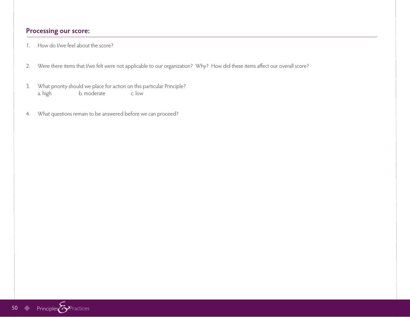- 1. How do I/we feel about the score?
- 2. Were there items that I/we felt were not applicable to our organization? Why? How did these items affect our overall score?
- 3. What priority should we place for action on this particular Principle? a. high b. moderate c. low
- 4. What questions remain to be answered before we can proceed?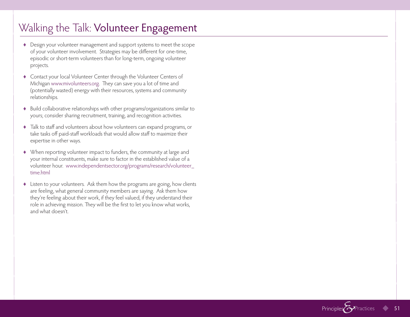### Walking the Talk: Volunteer Engagement

- ♦ Design your volunteer management and support systems to meet the scope of your volunteer involvement. Strategies may be different for one-time, episodic or short-term volunteers than for long-term, ongoing volunteer projects.
- ♦ Contact your local Volunteer Center through the Volunteer Centers of Michigan www.mivolunteers.org. They can save you a lot of time and (potentially wasted) energy with their resources, systems and community relationships.
- ♦ Build collaborative relationships with other programs/organizations similar to yours; consider sharing recruitment, training, and recognition activities.
- ♦ Talk to staff and volunteers about how volunteers can expand programs, or take tasks off paid-staff workloads that would allow staff to maximize their expertise in other ways.
- ♦ When reporting volunteer impact to funders, the community at large and your internal constituents, make sure to factor in the established value of a volunteer hour. www.independentsector.org/programs/research/volunteer\_ time.html
- ♦ Listen to your volunteers. Ask them how the programs are going, how clients are feeling, what general community members are saying. Ask them how they're feeling about their work, if they feel valued, if they understand their role in achieving mission. They will be the first to let you know what works, and what doesn't.

Principles<sup></sup>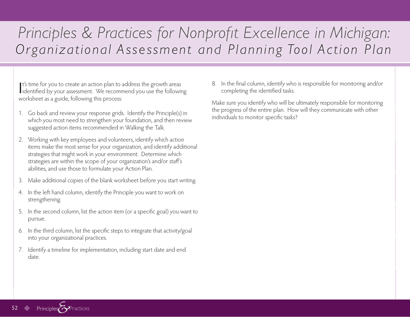## *Principles & Practices for Nonprofit Excellence in Michigan: Organizational Assessment and Planning Tool Action Plan*

It's time for you to create an action plan to address the growth areas<br>identified by your assessment. We recommend you use the following It's time for you to create an action plan to address the growth areas worksheet as a guide, following this process:

- 1. Go back and review your response grids. Identify the Principle(s) in which you most need to strengthen your foundation, and then review suggested action items recommended in Walking the Talk.
- 2. Working with key employees and volunteers, identify which action items make the most sense for your organization, and identify additional strategies that might work in your environment. Determine which strategies are within the scope of your organization's and/or staff's abilities, and use those to formulate your Action Plan.
- 3. Make additional copies of the blank worksheet before you start writing.
- 4. In the left hand column, identify the Principle you want to work on strengthening.
- 5. In the second column, list the action item (or a specific goal) you want to pursue.
- 6. In the third column, list the specific steps to integrate that activity/goal into your organizational practices.
- 7. Identify a timeline for implementation, including start date and end date.

8. In the final column, identify who is responsible for monitoring and/or completing the identified tasks.

Make sure you identify who will be ultimately responsible for monitoring the progress of the entire plan. How will they communicate with other individuals to monitor specific tasks?

**Principles**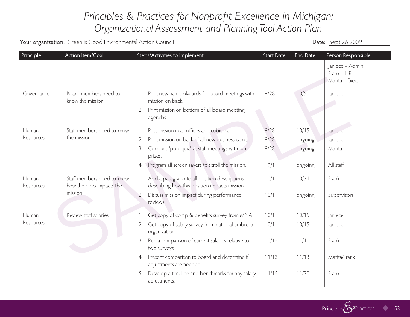### *Principles & Practices for Nonprofit Excellence in Michigan: Organizational Assessment and Planning Tool Action Plan*

Your organization: Green is Good Environmental Action Council and Sounces and Sounces of Council Date: Sept 26 2009

| Principle          | Action Item/Goal                                                   | Steps/Activities to Implement                                                                                                                                                                                                                                                                                                                                | <b>Start Date</b>                       | <b>End Date</b>                          | Person Responsible                                   |
|--------------------|--------------------------------------------------------------------|--------------------------------------------------------------------------------------------------------------------------------------------------------------------------------------------------------------------------------------------------------------------------------------------------------------------------------------------------------------|-----------------------------------------|------------------------------------------|------------------------------------------------------|
|                    |                                                                    |                                                                                                                                                                                                                                                                                                                                                              |                                         |                                          | Janiece - Admin<br>$Frank - HR$<br>Marita - Exec.    |
| Governance         | Board members need to<br>know the mission                          | Print new name placards for board meetings with<br>mission on back.<br>Print mission on bottom of all board meeting<br>2.<br>agendas.                                                                                                                                                                                                                        | 9/28                                    | 10/5                                     | Janiece                                              |
| Human<br>Resources | Staff members need to know<br>the mission                          | Post mission in all offices and cubicles.<br>Print mission on back of all new business cards.<br>2.<br>Conduct "pop quiz" at staff meetings with fun<br>3.<br>prizes.<br>Program all screen savers to scroll the mission.<br>4.                                                                                                                              | 9/28<br>9/28<br>9/28<br>10/1            | 10/15<br>ongoing<br>ongoing<br>ongoing   | Janiece<br>Janiece<br>Marita<br>All staff            |
| Human<br>Resources | Staff members need to know<br>how their job impacts the<br>mission | Add a paragraph to all position descriptions<br>1.<br>describing how this position impacts mission.<br>Discuss mission impact during performance<br>2.<br>reviews.                                                                                                                                                                                           | 10/1<br>10/1                            | 10/31<br>ongoing                         | Frank<br>Supervisors                                 |
| Human<br>Resources | Review staff salaries                                              | Get copy of comp & benefits survey from MNA.<br>Get copy of salary survey from national umbrella<br>2.<br>organization.<br>Run a comparison of current salaries relative to<br>3.<br>two surveys.<br>Present comparison to board and determine if<br>4.<br>adjustments are needed.<br>Develop a timeline and benchmarks for any salary<br>5.<br>adjustments. | 10/1<br>10/1<br>10/15<br>11/13<br>11/15 | 10/15<br>10/15<br>11/1<br>11/13<br>11/30 | laniece<br>Janiece<br>Frank<br>Marita/Frank<br>Frank |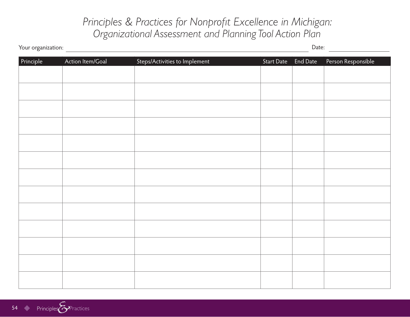### *Principles & Practices for Nonprofit Excellence in Michigan: Organizational Assessment and Planning Tool Action Plan*

Your organization: <u>New Your organization:</u> Date:

| Principle | Action Item/Goal | Steps/Activities to Implement | Start Date End Date | Person Responsible |
|-----------|------------------|-------------------------------|---------------------|--------------------|
|           |                  |                               |                     |                    |
|           |                  |                               |                     |                    |
|           |                  |                               |                     |                    |
|           |                  |                               |                     |                    |
|           |                  |                               |                     |                    |
|           |                  |                               |                     |                    |
|           |                  |                               |                     |                    |
|           |                  |                               |                     |                    |
|           |                  |                               |                     |                    |
|           |                  |                               |                     |                    |
|           |                  |                               |                     |                    |
|           |                  |                               |                     |                    |
|           |                  |                               |                     |                    |